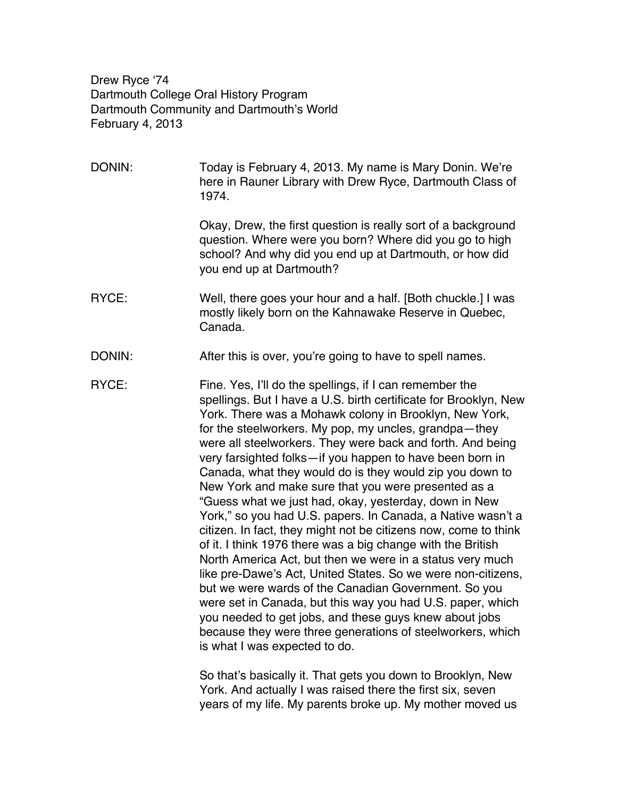Drew Ryce ʻ74 Dartmouth College Oral History Program Dartmouth Community and Dartmouth's World February 4, 2013

DONIN: Today is February 4, 2013. My name is Mary Donin. We're here in Rauner Library with Drew Ryce, Dartmouth Class of 1974.

> Okay, Drew, the first question is really sort of a background question. Where were you born? Where did you go to high school? And why did you end up at Dartmouth, or how did you end up at Dartmouth?

RYCE: Well, there goes your hour and a half. [Both chuckle.] I was mostly likely born on the Kahnawake Reserve in Quebec, Canada.

DONIN: After this is over, you're going to have to spell names.

RYCE: Fine. Yes, I'll do the spellings, if I can remember the spellings. But I have a U.S. birth certificate for Brooklyn, New York. There was a Mohawk colony in Brooklyn, New York, for the steelworkers. My pop, my uncles, grandpa—they were all steelworkers. They were back and forth. And being very farsighted folks—if you happen to have been born in Canada, what they would do is they would zip you down to New York and make sure that you were presented as a "Guess what we just had, okay, yesterday, down in New York," so you had U.S. papers. In Canada, a Native wasn't a citizen. In fact, they might not be citizens now, come to think of it. I think 1976 there was a big change with the British North America Act, but then we were in a status very much like pre-Dawe's Act, United States. So we were non-citizens, but we were wards of the Canadian Government. So you were set in Canada, but this way you had U.S. paper, which you needed to get jobs, and these guys knew about jobs because they were three generations of steelworkers, which is what I was expected to do.

> So that's basically it. That gets you down to Brooklyn, New York. And actually I was raised there the first six, seven years of my life. My parents broke up. My mother moved us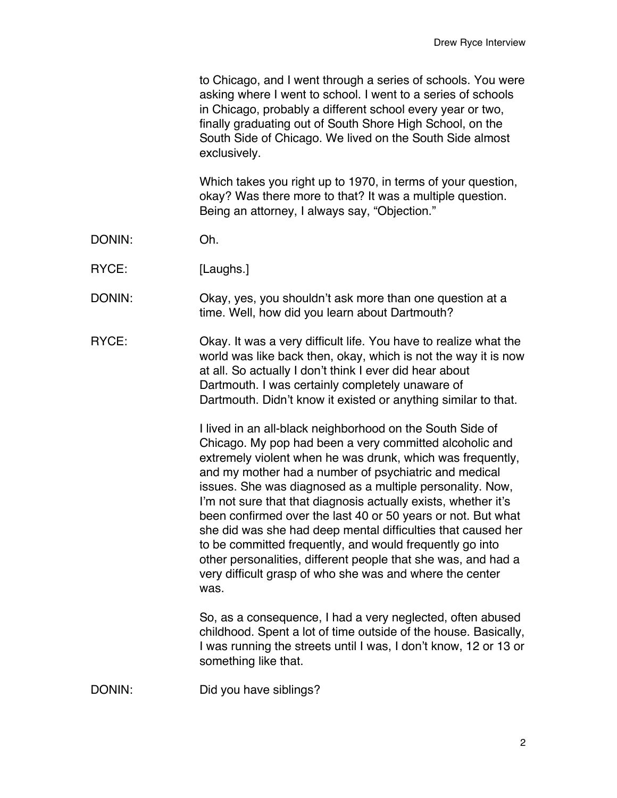to Chicago, and I went through a series of schools. You were asking where I went to school. I went to a series of schools in Chicago, probably a different school every year or two, finally graduating out of South Shore High School, on the South Side of Chicago. We lived on the South Side almost exclusively.

Which takes you right up to 1970, in terms of your question, okay? Was there more to that? It was a multiple question. Being an attorney, I always say, "Objection."

- DONIN: Oh.
- RYCE: [Laughs.]
- DONIN: Okay, yes, you shouldn't ask more than one question at a time. Well, how did you learn about Dartmouth?
- RYCE: Okay. It was a very difficult life. You have to realize what the world was like back then, okay, which is not the way it is now at all. So actually I don't think I ever did hear about Dartmouth. I was certainly completely unaware of Dartmouth. Didn't know it existed or anything similar to that.

I lived in an all-black neighborhood on the South Side of Chicago. My pop had been a very committed alcoholic and extremely violent when he was drunk, which was frequently, and my mother had a number of psychiatric and medical issues. She was diagnosed as a multiple personality. Now, I'm not sure that that diagnosis actually exists, whether it's been confirmed over the last 40 or 50 years or not. But what she did was she had deep mental difficulties that caused her to be committed frequently, and would frequently go into other personalities, different people that she was, and had a very difficult grasp of who she was and where the center was.

So, as a consequence, I had a very neglected, often abused childhood. Spent a lot of time outside of the house. Basically, I was running the streets until I was, I don't know, 12 or 13 or something like that.

DONIN: Did you have siblings?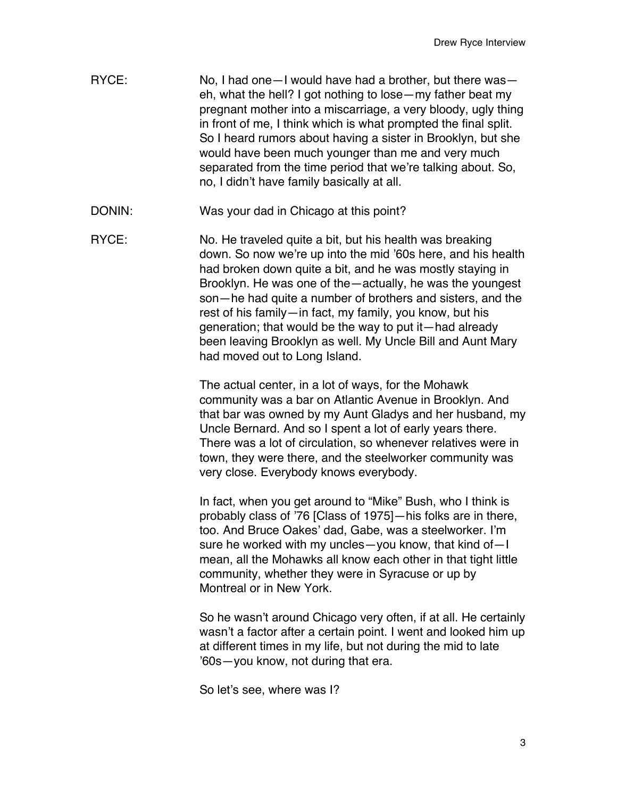- RYCE: No, I had one—I would have had a brother, but there was eh, what the hell? I got nothing to lose—my father beat my pregnant mother into a miscarriage, a very bloody, ugly thing in front of me, I think which is what prompted the final split. So I heard rumors about having a sister in Brooklyn, but she would have been much younger than me and very much separated from the time period that we're talking about. So, no, I didn't have family basically at all.
- DONIN: Was your dad in Chicago at this point?
- RYCE: No. He traveled quite a bit, but his health was breaking down. So now we're up into the mid '60s here, and his health had broken down quite a bit, and he was mostly staying in Brooklyn. He was one of the—actually, he was the youngest son—he had quite a number of brothers and sisters, and the rest of his family—in fact, my family, you know, but his generation; that would be the way to put it—had already been leaving Brooklyn as well. My Uncle Bill and Aunt Mary had moved out to Long Island.

The actual center, in a lot of ways, for the Mohawk community was a bar on Atlantic Avenue in Brooklyn. And that bar was owned by my Aunt Gladys and her husband, my Uncle Bernard. And so I spent a lot of early years there. There was a lot of circulation, so whenever relatives were in town, they were there, and the steelworker community was very close. Everybody knows everybody.

In fact, when you get around to "Mike" Bush, who I think is probably class of '76 [Class of 1975]—his folks are in there, too. And Bruce Oakes' dad, Gabe, was a steelworker. I'm sure he worked with my uncles—you know, that kind of—I mean, all the Mohawks all know each other in that tight little community, whether they were in Syracuse or up by Montreal or in New York.

So he wasn't around Chicago very often, if at all. He certainly wasn't a factor after a certain point. I went and looked him up at different times in my life, but not during the mid to late '60s—you know, not during that era.

So let's see, where was I?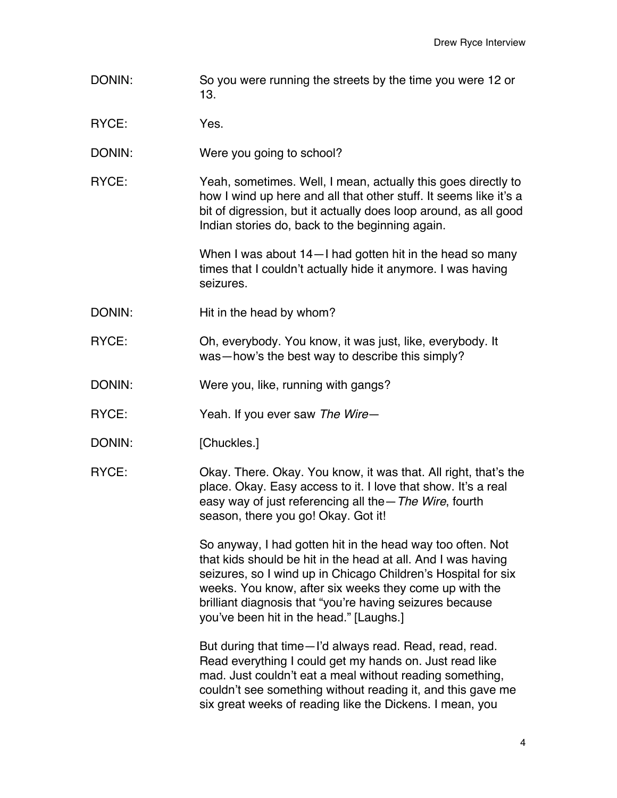- DONIN: So you were running the streets by the time you were 12 or 13.
- RYCE: Yes.
- DONIN: Were you going to school?
- RYCE: Yeah, sometimes. Well, I mean, actually this goes directly to how I wind up here and all that other stuff. It seems like it's a bit of digression, but it actually does loop around, as all good Indian stories do, back to the beginning again.

When I was about 14—I had gotten hit in the head so many times that I couldn't actually hide it anymore. I was having seizures.

- DONIN: Hit in the head by whom?
- RYCE: Oh, everybody. You know, it was just, like, everybody. It was—how's the best way to describe this simply?
- DONIN: Were you, like, running with gangs?
- RYCE: Yeah. If you ever saw *The Wire*—
- DONIN: [Chuckles.]
- RYCE: Okay. There. Okay. You know, it was that. All right, that's the place. Okay. Easy access to it. I love that show. It's a real easy way of just referencing all the—*The Wire*, fourth season, there you go! Okay. Got it!

So anyway, I had gotten hit in the head way too often. Not that kids should be hit in the head at all. And I was having seizures, so I wind up in Chicago Children's Hospital for six weeks. You know, after six weeks they come up with the brilliant diagnosis that "you're having seizures because you've been hit in the head." [Laughs.]

But during that time—I'd always read. Read, read, read. Read everything I could get my hands on. Just read like mad. Just couldn't eat a meal without reading something, couldn't see something without reading it, and this gave me six great weeks of reading like the Dickens. I mean, you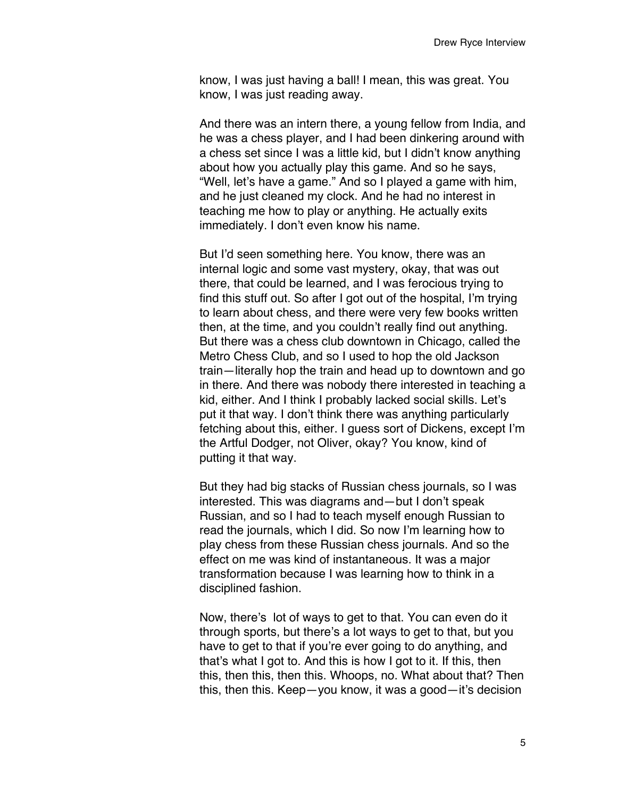know, I was just having a ball! I mean, this was great. You know, I was just reading away.

And there was an intern there, a young fellow from India, and he was a chess player, and I had been dinkering around with a chess set since I was a little kid, but I didn't know anything about how you actually play this game. And so he says, "Well, let's have a game." And so I played a game with him, and he just cleaned my clock. And he had no interest in teaching me how to play or anything. He actually exits immediately. I don't even know his name.

But I'd seen something here. You know, there was an internal logic and some vast mystery, okay, that was out there, that could be learned, and I was ferocious trying to find this stuff out. So after I got out of the hospital, I'm trying to learn about chess, and there were very few books written then, at the time, and you couldn't really find out anything. But there was a chess club downtown in Chicago, called the Metro Chess Club, and so I used to hop the old Jackson train—literally hop the train and head up to downtown and go in there. And there was nobody there interested in teaching a kid, either. And I think I probably lacked social skills. Let's put it that way. I don't think there was anything particularly fetching about this, either. I guess sort of Dickens, except I'm the Artful Dodger, not Oliver, okay? You know, kind of putting it that way.

But they had big stacks of Russian chess journals, so I was interested. This was diagrams and—but I don't speak Russian, and so I had to teach myself enough Russian to read the journals, which I did. So now I'm learning how to play chess from these Russian chess journals. And so the effect on me was kind of instantaneous. It was a major transformation because I was learning how to think in a disciplined fashion.

Now, there's lot of ways to get to that. You can even do it through sports, but there's a lot ways to get to that, but you have to get to that if you're ever going to do anything, and that's what I got to. And this is how I got to it. If this, then this, then this, then this. Whoops, no. What about that? Then this, then this. Keep—you know, it was a good—it's decision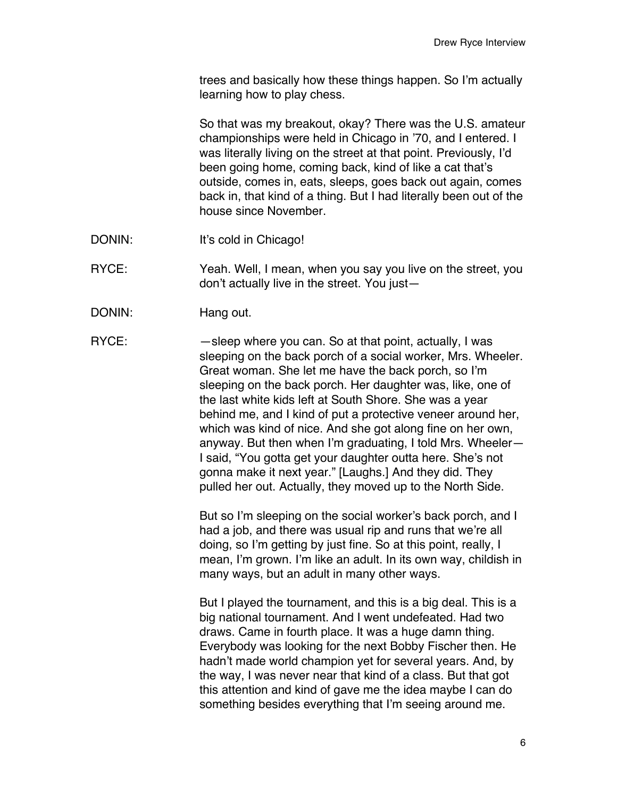trees and basically how these things happen. So I'm actually learning how to play chess.

So that was my breakout, okay? There was the U.S. amateur championships were held in Chicago in '70, and I entered. I was literally living on the street at that point. Previously, I'd been going home, coming back, kind of like a cat that's outside, comes in, eats, sleeps, goes back out again, comes back in, that kind of a thing. But I had literally been out of the house since November.

DONIN: It's cold in Chicago!

RYCE: Yeah. Well, I mean, when you say you live on the street, you don't actually live in the street. You just—

DONIN: Hang out.

RYCE: — — sleep where you can. So at that point, actually, I was sleeping on the back porch of a social worker, Mrs. Wheeler. Great woman. She let me have the back porch, so I'm sleeping on the back porch. Her daughter was, like, one of the last white kids left at South Shore. She was a year behind me, and I kind of put a protective veneer around her, which was kind of nice. And she got along fine on her own, anyway. But then when I'm graduating, I told Mrs. Wheeler— I said, "You gotta get your daughter outta here. She's not gonna make it next year." [Laughs.] And they did. They pulled her out. Actually, they moved up to the North Side.

> But so I'm sleeping on the social worker's back porch, and I had a job, and there was usual rip and runs that we're all doing, so I'm getting by just fine. So at this point, really, I mean, I'm grown. I'm like an adult. In its own way, childish in many ways, but an adult in many other ways.

But I played the tournament, and this is a big deal. This is a big national tournament. And I went undefeated. Had two draws. Came in fourth place. It was a huge damn thing. Everybody was looking for the next Bobby Fischer then. He hadn't made world champion yet for several years. And, by the way, I was never near that kind of a class. But that got this attention and kind of gave me the idea maybe I can do something besides everything that I'm seeing around me.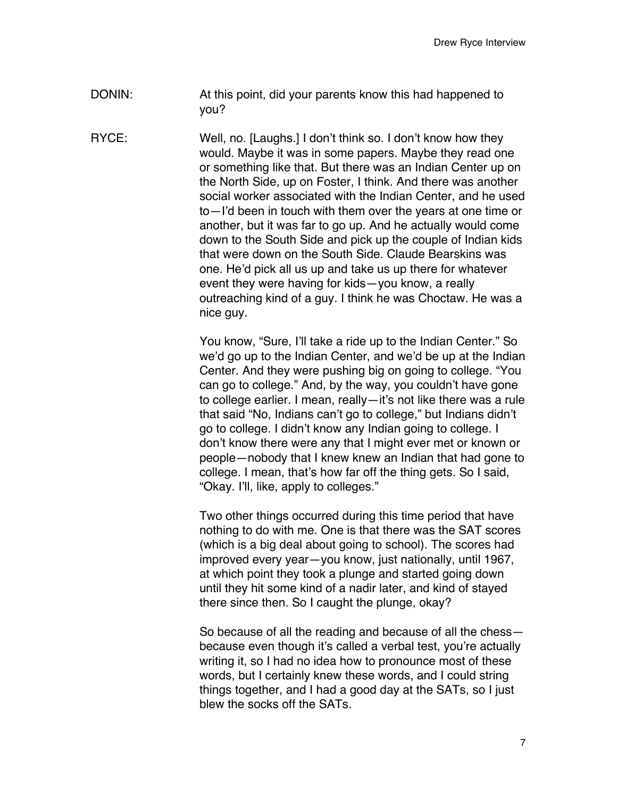DONIN: At this point, did your parents know this had happened to you?

RYCE: Well, no. [Laughs.] I don't think so. I don't know how they would. Maybe it was in some papers. Maybe they read one or something like that. But there was an Indian Center up on the North Side, up on Foster, I think. And there was another social worker associated with the Indian Center, and he used to—I'd been in touch with them over the years at one time or another, but it was far to go up. And he actually would come down to the South Side and pick up the couple of Indian kids that were down on the South Side. Claude Bearskins was one. He'd pick all us up and take us up there for whatever event they were having for kids—you know, a really outreaching kind of a guy. I think he was Choctaw. He was a nice guy.

> You know, "Sure, I'll take a ride up to the Indian Center." So we'd go up to the Indian Center, and we'd be up at the Indian Center. And they were pushing big on going to college. "You can go to college." And, by the way, you couldn't have gone to college earlier. I mean, really—it's not like there was a rule that said "No, Indians can't go to college," but Indians didn't go to college. I didn't know any Indian going to college. I don't know there were any that I might ever met or known or people—nobody that I knew knew an Indian that had gone to college. I mean, that's how far off the thing gets. So I said, "Okay. I'll, like, apply to colleges."

Two other things occurred during this time period that have nothing to do with me. One is that there was the SAT scores (which is a big deal about going to school). The scores had improved every year—you know, just nationally, until 1967, at which point they took a plunge and started going down until they hit some kind of a nadir later, and kind of stayed there since then. So I caught the plunge, okay?

So because of all the reading and because of all the chess because even though it's called a verbal test, you're actually writing it, so I had no idea how to pronounce most of these words, but I certainly knew these words, and I could string things together, and I had a good day at the SATs, so I just blew the socks off the SATs.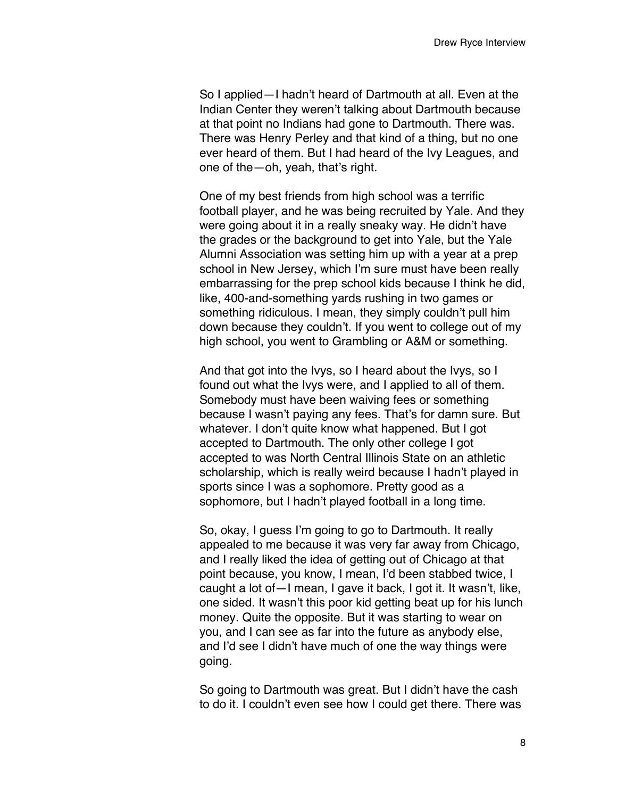So I applied—I hadn't heard of Dartmouth at all. Even at the Indian Center they weren't talking about Dartmouth because at that point no Indians had gone to Dartmouth. There was. There was Henry Perley and that kind of a thing, but no one ever heard of them. But I had heard of the Ivy Leagues, and one of the—oh, yeah, that's right.

One of my best friends from high school was a terrific football player, and he was being recruited by Yale. And they were going about it in a really sneaky way. He didn't have the grades or the background to get into Yale, but the Yale Alumni Association was setting him up with a year at a prep school in New Jersey, which I'm sure must have been really embarrassing for the prep school kids because I think he did, like, 400-and-something yards rushing in two games or something ridiculous. I mean, they simply couldn't pull him down because they couldn't. If you went to college out of my high school, you went to Grambling or A&M or something.

And that got into the Ivys, so I heard about the Ivys, so I found out what the Ivys were, and I applied to all of them. Somebody must have been waiving fees or something because I wasn't paying any fees. That's for damn sure. But whatever. I don't quite know what happened. But I got accepted to Dartmouth. The only other college I got accepted to was North Central Illinois State on an athletic scholarship, which is really weird because I hadn't played in sports since I was a sophomore. Pretty good as a sophomore, but I hadn't played football in a long time.

So, okay, I guess I'm going to go to Dartmouth. It really appealed to me because it was very far away from Chicago, and I really liked the idea of getting out of Chicago at that point because, you know, I mean, I'd been stabbed twice, I caught a lot of—I mean, I gave it back, I got it. It wasn't, like, one sided. It wasn't this poor kid getting beat up for his lunch money. Quite the opposite. But it was starting to wear on you, and I can see as far into the future as anybody else, and I'd see I didn't have much of one the way things were going.

So going to Dartmouth was great. But I didn't have the cash to do it. I couldn't even see how I could get there. There was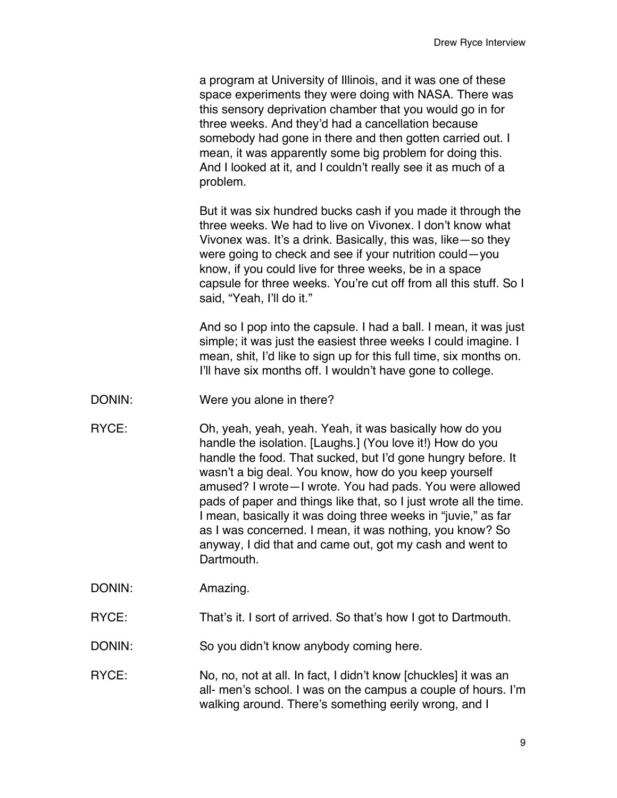a program at University of Illinois, and it was one of these space experiments they were doing with NASA. There was this sensory deprivation chamber that you would go in for three weeks. And they'd had a cancellation because somebody had gone in there and then gotten carried out. I mean, it was apparently some big problem for doing this. And I looked at it, and I couldn't really see it as much of a problem.

But it was six hundred bucks cash if you made it through the three weeks. We had to live on Vivonex. I don't know what Vivonex was. It's a drink. Basically, this was, like—so they were going to check and see if your nutrition could—you know, if you could live for three weeks, be in a space capsule for three weeks. You're cut off from all this stuff. So I said, "Yeah, I'll do it."

And so I pop into the capsule. I had a ball. I mean, it was just simple; it was just the easiest three weeks I could imagine. I mean, shit, I'd like to sign up for this full time, six months on. I'll have six months off. I wouldn't have gone to college.

- DONIN: Were you alone in there?
- RYCE: Oh, yeah, yeah, yeah. Yeah, it was basically how do you handle the isolation. [Laughs.] (You love it!) How do you handle the food. That sucked, but I'd gone hungry before. It wasn't a big deal. You know, how do you keep yourself amused? I wrote—I wrote. You had pads. You were allowed pads of paper and things like that, so I just wrote all the time. I mean, basically it was doing three weeks in "juvie," as far as I was concerned. I mean, it was nothing, you know? So anyway, I did that and came out, got my cash and went to Dartmouth.

DONIN: Amazing.

RYCE: That's it. I sort of arrived. So that's how I got to Dartmouth.

DONIN: So you didn't know anybody coming here.

RYCE: No, no, not at all. In fact, I didn't know [chuckles] it was an all- men's school. I was on the campus a couple of hours. I'm walking around. There's something eerily wrong, and I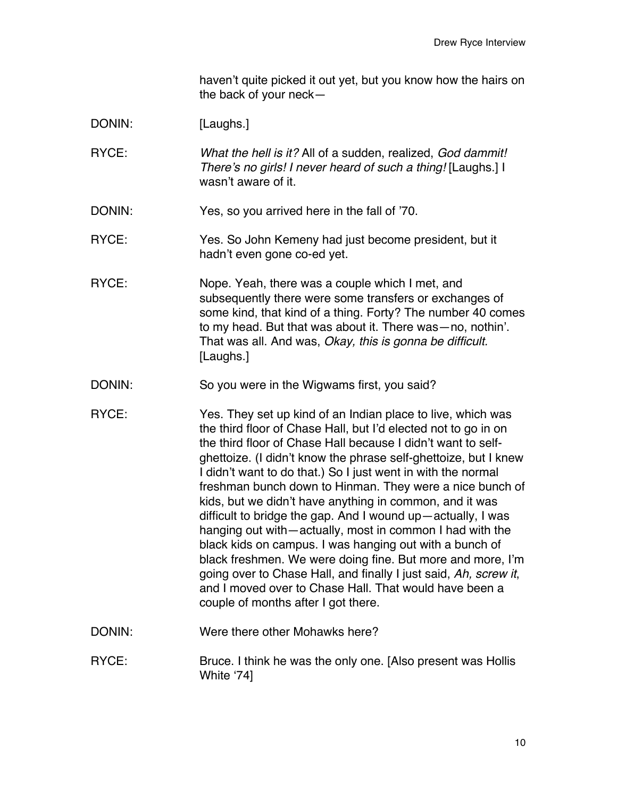haven't quite picked it out yet, but you know how the hairs on the back of your neck—

- DONIN: [Laughs.]
- RYCE: *What the hell is it?* All of a sudden, realized, *God dammit! There*'*s no girls! I never heard of such a thing!* [Laughs.] I wasn't aware of it.
- DONIN: Yes, so you arrived here in the fall of '70.
- RYCE: Yes. So John Kemeny had just become president, but it hadn't even gone co-ed yet.
- RYCE: Nope. Yeah, there was a couple which I met, and subsequently there were some transfers or exchanges of some kind, that kind of a thing. Forty? The number 40 comes to my head. But that was about it. There was—no, nothin'. That was all. And was, *Okay, this is gonna be difficult.* [Laughs.]
- DONIN: So you were in the Wigwams first, you said?
- RYCE: Yes. They set up kind of an Indian place to live, which was the third floor of Chase Hall, but I'd elected not to go in on the third floor of Chase Hall because I didn't want to selfghettoize. (I didn't know the phrase self-ghettoize, but I knew I didn't want to do that.) So I just went in with the normal freshman bunch down to Hinman. They were a nice bunch of kids, but we didn't have anything in common, and it was difficult to bridge the gap. And I wound up—actually, I was hanging out with—actually, most in common I had with the black kids on campus. I was hanging out with a bunch of black freshmen. We were doing fine. But more and more, I'm going over to Chase Hall, and finally I just said, *Ah, screw it*, and I moved over to Chase Hall. That would have been a couple of months after I got there.
- DONIN: Were there other Mohawks here?
- RYCE: Bruce. I think he was the only one. [Also present was Hollis White ʻ74]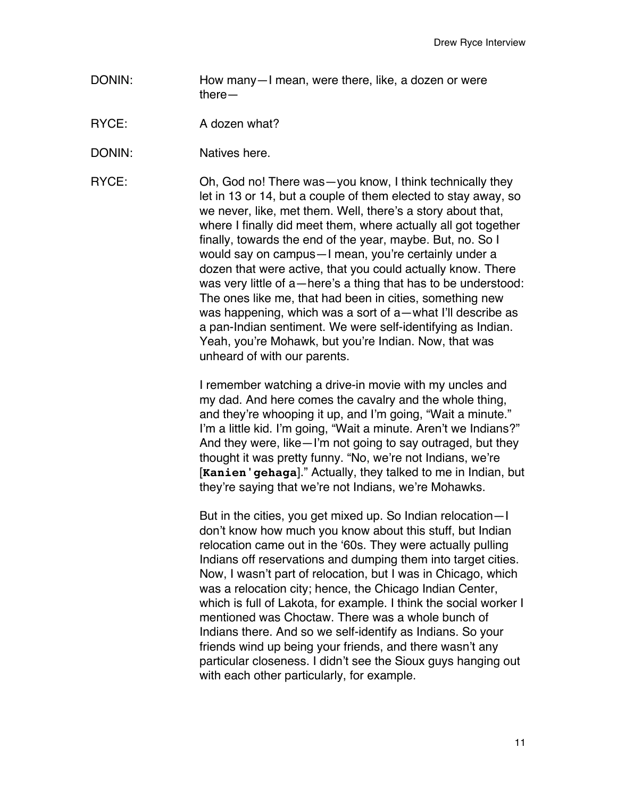DONIN: How many—I mean, were there, like, a dozen or were there—

RYCE: A dozen what?

DONIN: Natives here.

RYCE: Oh, God no! There was—you know, I think technically they let in 13 or 14, but a couple of them elected to stay away, so we never, like, met them. Well, there's a story about that, where I finally did meet them, where actually all got together finally, towards the end of the year, maybe. But, no. So I would say on campus—I mean, you're certainly under a dozen that were active, that you could actually know. There was very little of a—here's a thing that has to be understood: The ones like me, that had been in cities, something new was happening, which was a sort of a—what I'll describe as a pan-Indian sentiment. We were self-identifying as Indian. Yeah, you're Mohawk, but you're Indian. Now, that was unheard of with our parents.

> I remember watching a drive-in movie with my uncles and my dad. And here comes the cavalry and the whole thing, and they're whooping it up, and I'm going, "Wait a minute." I'm a little kid. I'm going, "Wait a minute. Aren't we Indians?" And they were, like—I'm not going to say outraged, but they thought it was pretty funny. "No, we're not Indians, we're [**Kanien'gehaga**]." Actually, they talked to me in Indian, but they're saying that we're not Indians, we're Mohawks.

> But in the cities, you get mixed up. So Indian relocation—I don't know how much you know about this stuff, but Indian relocation came out in the ʻ60s. They were actually pulling Indians off reservations and dumping them into target cities. Now, I wasn't part of relocation, but I was in Chicago, which was a relocation city; hence, the Chicago Indian Center, which is full of Lakota, for example. I think the social worker I mentioned was Choctaw. There was a whole bunch of Indians there. And so we self-identify as Indians. So your friends wind up being your friends, and there wasn't any particular closeness. I didn't see the Sioux guys hanging out with each other particularly, for example.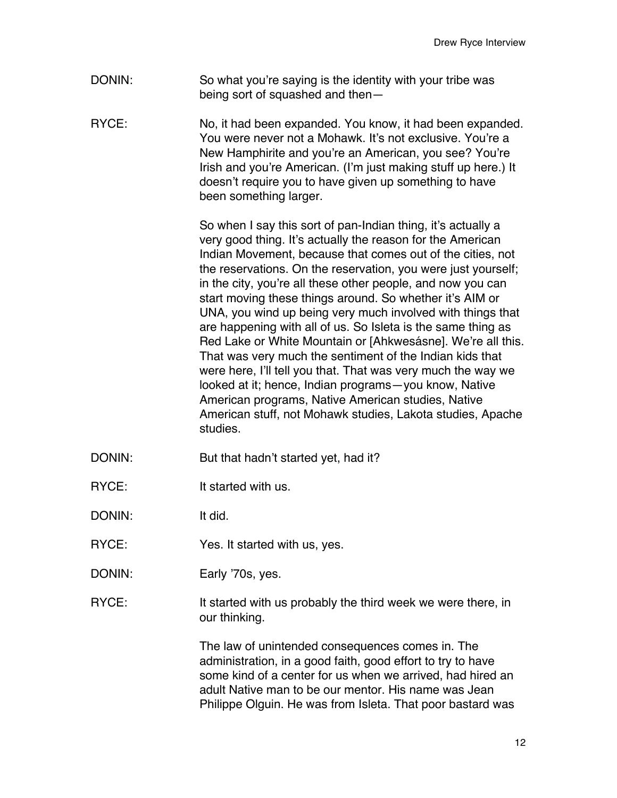- DONIN: So what you're saying is the identity with your tribe was being sort of squashed and then—
- RYCE: No, it had been expanded. You know, it had been expanded. You were never not a Mohawk. It's not exclusive. You're a New Hamphirite and you're an American, you see? You're Irish and you're American. (I'm just making stuff up here.) It doesn't require you to have given up something to have been something larger.

So when I say this sort of pan-Indian thing, it's actually a very good thing. It's actually the reason for the American Indian Movement, because that comes out of the cities, not the reservations. On the reservation, you were just yourself; in the city, you're all these other people, and now you can start moving these things around. So whether it's AIM or UNA, you wind up being very much involved with things that are happening with all of us. So Isleta is the same thing as Red Lake or White Mountain or [Ahkwesásne]. We're all this. That was very much the sentiment of the Indian kids that were here, I'll tell you that. That was very much the way we looked at it; hence, Indian programs—you know, Native American programs, Native American studies, Native American stuff, not Mohawk studies, Lakota studies, Apache studies.

- DONIN: But that hadn't started yet, had it?
- RYCE: It started with us.

DONIN: It did.

- RYCE: Yes. It started with us, yes.
- DONIN: Early '70s, yes.
- RYCE: It started with us probably the third week we were there, in our thinking.

The law of unintended consequences comes in. The administration, in a good faith, good effort to try to have some kind of a center for us when we arrived, had hired an adult Native man to be our mentor. His name was Jean Philippe Olguin. He was from Isleta. That poor bastard was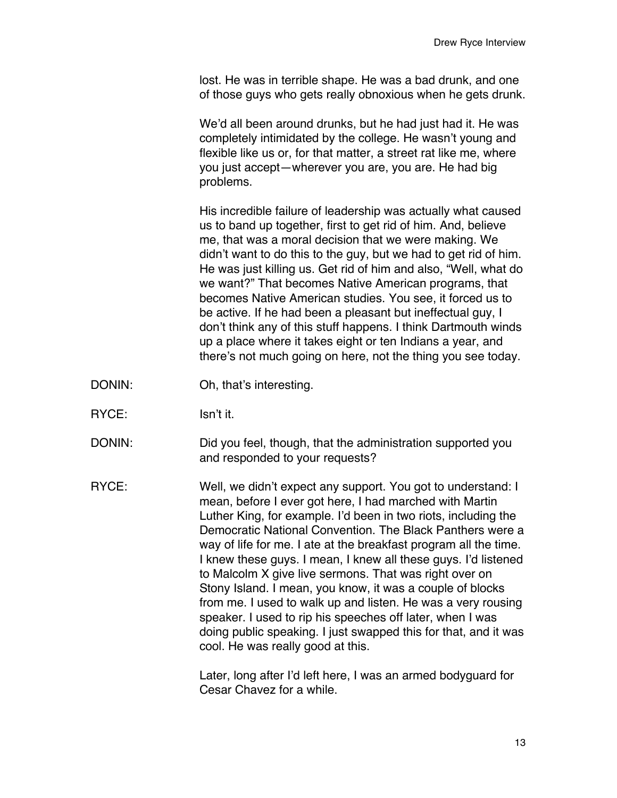lost. He was in terrible shape. He was a bad drunk, and one of those guys who gets really obnoxious when he gets drunk.

We'd all been around drunks, but he had just had it. He was completely intimidated by the college. He wasn't young and flexible like us or, for that matter, a street rat like me, where you just accept—wherever you are, you are. He had big problems.

His incredible failure of leadership was actually what caused us to band up together, first to get rid of him. And, believe me, that was a moral decision that we were making. We didn't want to do this to the guy, but we had to get rid of him. He was just killing us. Get rid of him and also, "Well, what do we want?" That becomes Native American programs, that becomes Native American studies. You see, it forced us to be active. If he had been a pleasant but ineffectual guy, I don't think any of this stuff happens. I think Dartmouth winds up a place where it takes eight or ten Indians a year, and there's not much going on here, not the thing you see today.

- DONIN: Oh, that's interesting.
- RYCE: Isn't it.
- DONIN: Did you feel, though, that the administration supported you and responded to your requests?
- RYCE: Well, we didn't expect any support. You got to understand: I mean, before I ever got here, I had marched with Martin Luther King, for example. I'd been in two riots, including the Democratic National Convention. The Black Panthers were a way of life for me. I ate at the breakfast program all the time. I knew these guys. I mean, I knew all these guys. I'd listened to Malcolm X give live sermons. That was right over on Stony Island. I mean, you know, it was a couple of blocks from me. I used to walk up and listen. He was a very rousing speaker. I used to rip his speeches off later, when I was doing public speaking. I just swapped this for that, and it was cool. He was really good at this.

Later, long after I'd left here, I was an armed bodyguard for Cesar Chavez for a while.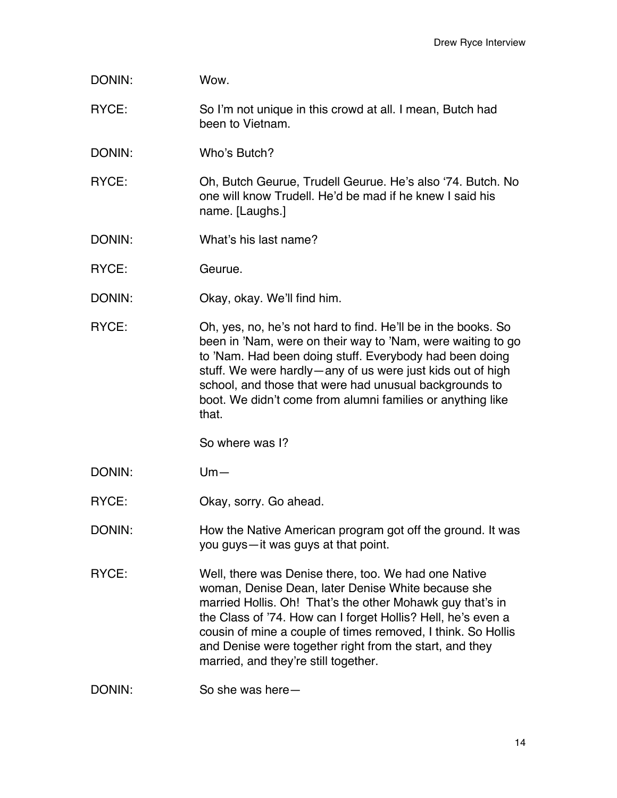| DONIN: | Wow.                                                                                                                                                                                                                                                                                                                                                                                                       |
|--------|------------------------------------------------------------------------------------------------------------------------------------------------------------------------------------------------------------------------------------------------------------------------------------------------------------------------------------------------------------------------------------------------------------|
| RYCE:  | So I'm not unique in this crowd at all. I mean, Butch had<br>been to Vietnam.                                                                                                                                                                                                                                                                                                                              |
| DONIN: | Who's Butch?                                                                                                                                                                                                                                                                                                                                                                                               |
| RYCE:  | Oh, Butch Geurue, Trudell Geurue. He's also '74. Butch. No<br>one will know Trudell. He'd be mad if he knew I said his<br>name. [Laughs.]                                                                                                                                                                                                                                                                  |
| DONIN: | What's his last name?                                                                                                                                                                                                                                                                                                                                                                                      |
| RYCE:  | Geurue.                                                                                                                                                                                                                                                                                                                                                                                                    |
| DONIN: | Okay, okay. We'll find him.                                                                                                                                                                                                                                                                                                                                                                                |
| RYCE:  | Oh, yes, no, he's not hard to find. He'll be in the books. So<br>been in 'Nam, were on their way to 'Nam, were waiting to go<br>to 'Nam. Had been doing stuff. Everybody had been doing<br>stuff. We were hardly—any of us were just kids out of high<br>school, and those that were had unusual backgrounds to<br>boot. We didn't come from alumni families or anything like<br>that.                     |
|        | So where was I?                                                                                                                                                                                                                                                                                                                                                                                            |
| DONIN: | $Um -$                                                                                                                                                                                                                                                                                                                                                                                                     |
| RYCE:  | Okay, sorry. Go ahead.                                                                                                                                                                                                                                                                                                                                                                                     |
| DONIN: | How the Native American program got off the ground. It was<br>you guys-it was guys at that point.                                                                                                                                                                                                                                                                                                          |
| RYCE:  | Well, there was Denise there, too. We had one Native<br>woman, Denise Dean, later Denise White because she<br>married Hollis. Oh! That's the other Mohawk guy that's in<br>the Class of '74. How can I forget Hollis? Hell, he's even a<br>cousin of mine a couple of times removed, I think. So Hollis<br>and Denise were together right from the start, and they<br>married, and they're still together. |
| DONIN: | So she was here-                                                                                                                                                                                                                                                                                                                                                                                           |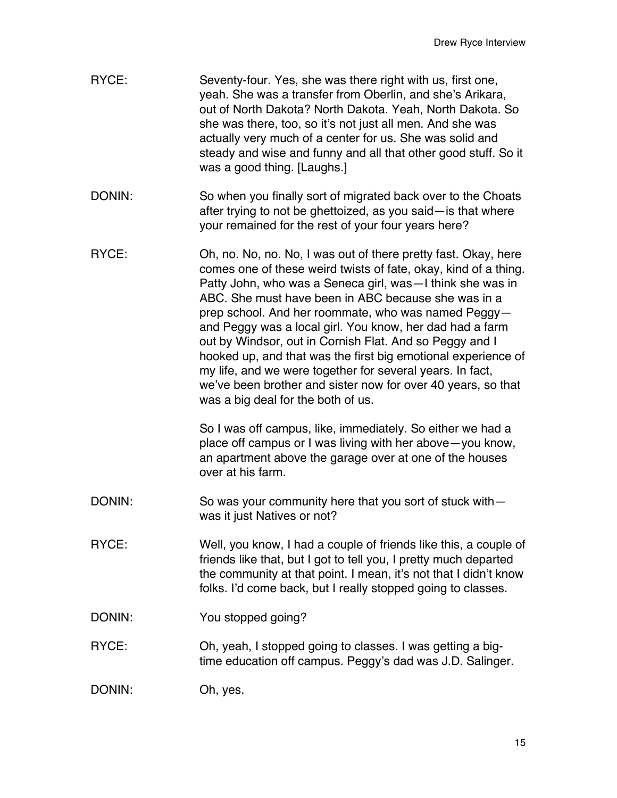- RYCE: Seventy-four. Yes, she was there right with us, first one, yeah. She was a transfer from Oberlin, and she's Arikara, out of North Dakota? North Dakota. Yeah, North Dakota. So she was there, too, so it's not just all men. And she was actually very much of a center for us. She was solid and steady and wise and funny and all that other good stuff. So it was a good thing. [Laughs.]
- DONIN: So when you finally sort of migrated back over to the Choats after trying to not be ghettoized, as you said—is that where your remained for the rest of your four years here?
- RYCE: Oh, no. No, no. No, I was out of there pretty fast. Okay, here comes one of these weird twists of fate, okay, kind of a thing. Patty John, who was a Seneca girl, was—I think she was in ABC. She must have been in ABC because she was in a prep school. And her roommate, who was named Peggy and Peggy was a local girl. You know, her dad had a farm out by Windsor, out in Cornish Flat. And so Peggy and I hooked up, and that was the first big emotional experience of my life, and we were together for several years. In fact, we've been brother and sister now for over 40 years, so that was a big deal for the both of us.

So I was off campus, like, immediately. So either we had a place off campus or I was living with her above—you know, an apartment above the garage over at one of the houses over at his farm.

- DONIN: So was your community here that you sort of stuck with was it just Natives or not?
- RYCE: Well, you know, I had a couple of friends like this, a couple of friends like that, but I got to tell you, I pretty much departed the community at that point. I mean, it's not that I didn't know folks. I'd come back, but I really stopped going to classes.
- DONIN: You stopped going?
- RYCE: Oh, yeah, I stopped going to classes. I was getting a bigtime education off campus. Peggy's dad was J.D. Salinger.

DONIN: Oh, yes.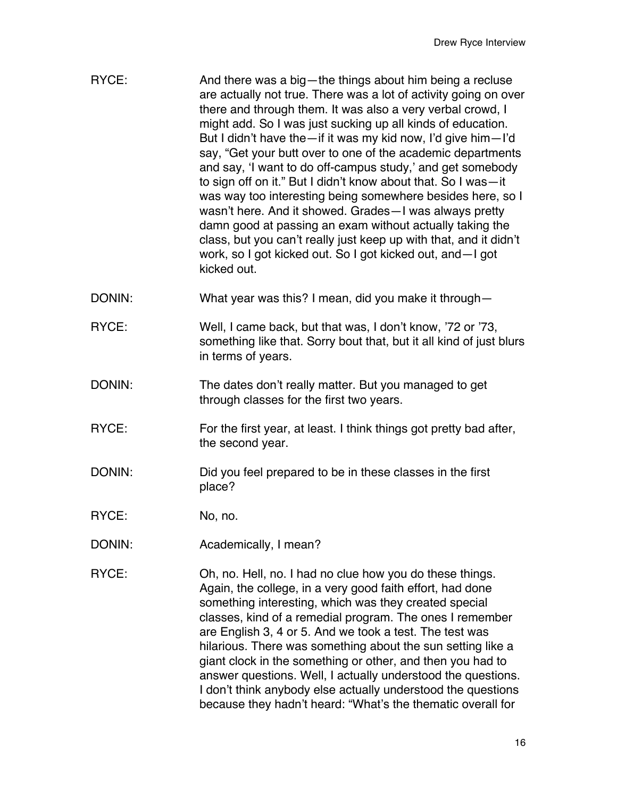| RYCE: | And there was a big-the things about him being a recluse          |
|-------|-------------------------------------------------------------------|
|       | are actually not true. There was a lot of activity going on over  |
|       | there and through them. It was also a very verbal crowd, I        |
|       | might add. So I was just sucking up all kinds of education.       |
|       | But I didn't have the—if it was my kid now, I'd give him—I'd      |
|       | say, "Get your butt over to one of the academic departments       |
|       | and say, 'I want to do off-campus study,' and get somebody        |
|       | to sign off on it." But I didn't know about that. So I was-it     |
|       | was way too interesting being somewhere besides here, so I        |
|       | wasn't here. And it showed. Grades - I was always pretty          |
|       | damn good at passing an exam without actually taking the          |
|       | class, but you can't really just keep up with that, and it didn't |
|       | work, so I got kicked out. So I got kicked out, and - I got       |
|       | kicked out.                                                       |

- DONIN: What year was this? I mean, did you make it through—
- RYCE: Well, I came back, but that was, I don't know, '72 or '73, something like that. Sorry bout that, but it all kind of just blurs in terms of years.
- DONIN: The dates don't really matter. But you managed to get through classes for the first two years.
- RYCE: For the first year, at least. I think things got pretty bad after, the second year.
- DONIN: DONIN: Did you feel prepared to be in these classes in the first place?
- RYCE: No, no.
- DONIN: Academically, I mean?
- RYCE: Oh, no. Hell, no. I had no clue how you do these things. Again, the college, in a very good faith effort, had done something interesting, which was they created special classes, kind of a remedial program. The ones I remember are English 3, 4 or 5. And we took a test. The test was hilarious. There was something about the sun setting like a giant clock in the something or other, and then you had to answer questions. Well, I actually understood the questions. I don't think anybody else actually understood the questions because they hadn't heard: "What's the thematic overall for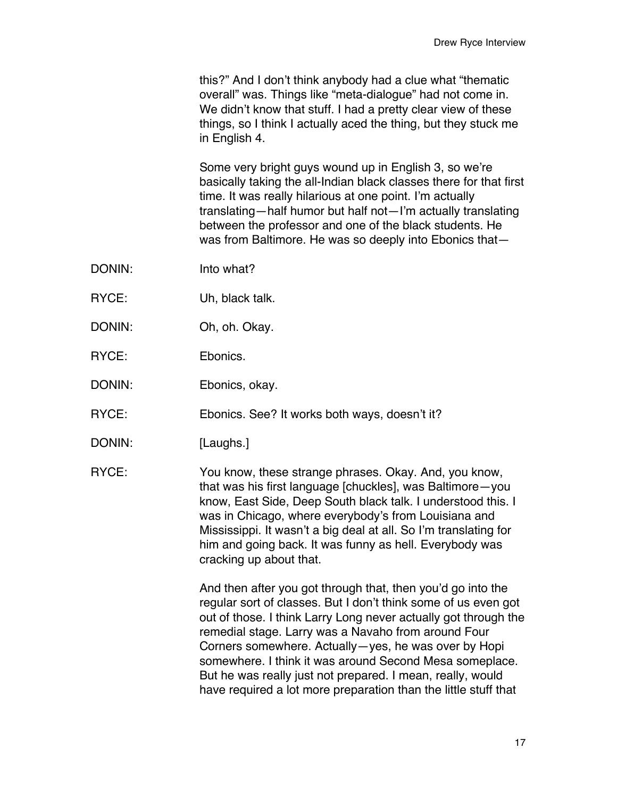this?" And I don't think anybody had a clue what "thematic overall" was. Things like "meta-dialogue" had not come in. We didn't know that stuff. I had a pretty clear view of these things, so I think I actually aced the thing, but they stuck me in English 4.

Some very bright guys wound up in English 3, so we're basically taking the all-Indian black classes there for that first time. It was really hilarious at one point. I'm actually translating—half humor but half not—I'm actually translating between the professor and one of the black students. He was from Baltimore. He was so deeply into Ebonics that—

- DONIN: Into what?
- RYCE: Uh, black talk.
- DONIN: Oh, oh. Okay.
- RYCE: Ebonics.
- DONIN: Ebonics, okay.
- RYCE: Ebonics. See? It works both ways, doesn't it?
- DONIN: [Laughs.]

RYCE: You know, these strange phrases. Okay. And, you know, that was his first language [chuckles], was Baltimore—you know, East Side, Deep South black talk. I understood this. I was in Chicago, where everybody's from Louisiana and Mississippi. It wasn't a big deal at all. So I'm translating for him and going back. It was funny as hell. Everybody was cracking up about that.

> And then after you got through that, then you'd go into the regular sort of classes. But I don't think some of us even got out of those. I think Larry Long never actually got through the remedial stage. Larry was a Navaho from around Four Corners somewhere. Actually—yes, he was over by Hopi somewhere. I think it was around Second Mesa someplace. But he was really just not prepared. I mean, really, would have required a lot more preparation than the little stuff that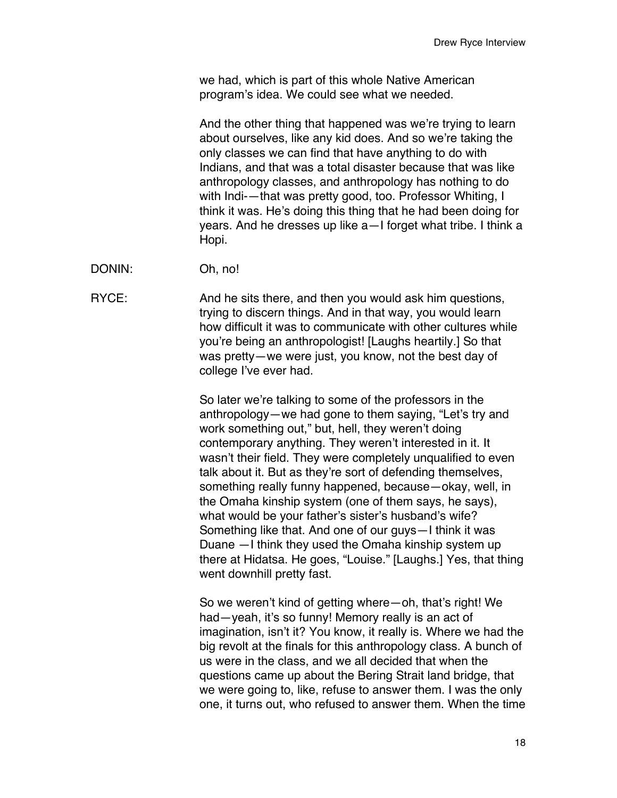we had, which is part of this whole Native American program's idea. We could see what we needed.

And the other thing that happened was we're trying to learn about ourselves, like any kid does. And so we're taking the only classes we can find that have anything to do with Indians, and that was a total disaster because that was like anthropology classes, and anthropology has nothing to do with Indi-—that was pretty good, too. Professor Whiting, I think it was. He's doing this thing that he had been doing for years. And he dresses up like a—I forget what tribe. I think a Hopi.

DONIN: Oh, no!

RYCE: And he sits there, and then you would ask him questions, trying to discern things. And in that way, you would learn how difficult it was to communicate with other cultures while you're being an anthropologist! [Laughs heartily.] So that was pretty—we were just, you know, not the best day of college I've ever had.

> So later we're talking to some of the professors in the anthropology—we had gone to them saying, "Let's try and work something out," but, hell, they weren't doing contemporary anything. They weren't interested in it. It wasn't their field. They were completely unqualified to even talk about it. But as they're sort of defending themselves, something really funny happened, because—okay, well, in the Omaha kinship system (one of them says, he says), what would be your father's sister's husband's wife? Something like that. And one of our guys—I think it was Duane —I think they used the Omaha kinship system up there at Hidatsa. He goes, "Louise." [Laughs.] Yes, that thing went downhill pretty fast.

> So we weren't kind of getting where—oh, that's right! We had—yeah, it's so funny! Memory really is an act of imagination, isn't it? You know, it really is. Where we had the big revolt at the finals for this anthropology class. A bunch of us were in the class, and we all decided that when the questions came up about the Bering Strait land bridge, that we were going to, like, refuse to answer them. I was the only one, it turns out, who refused to answer them. When the time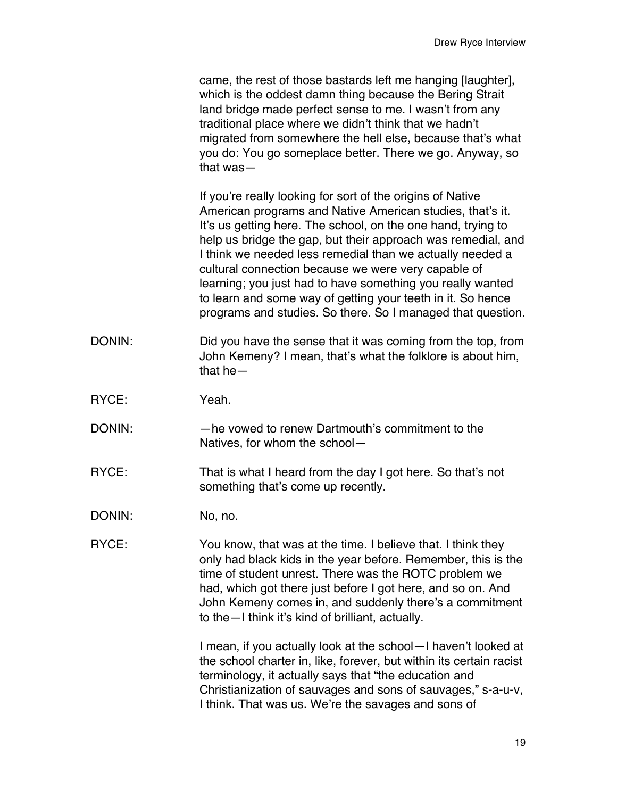|        | came, the rest of those bastards left me hanging [laughter],<br>which is the oddest damn thing because the Bering Strait<br>land bridge made perfect sense to me. I wasn't from any<br>traditional place where we didn't think that we hadn't<br>migrated from somewhere the hell else, because that's what<br>you do: You go someplace better. There we go. Anyway, so<br>that $was -$                                                                                                                                                                                 |
|--------|-------------------------------------------------------------------------------------------------------------------------------------------------------------------------------------------------------------------------------------------------------------------------------------------------------------------------------------------------------------------------------------------------------------------------------------------------------------------------------------------------------------------------------------------------------------------------|
|        | If you're really looking for sort of the origins of Native<br>American programs and Native American studies, that's it.<br>It's us getting here. The school, on the one hand, trying to<br>help us bridge the gap, but their approach was remedial, and<br>I think we needed less remedial than we actually needed a<br>cultural connection because we were very capable of<br>learning; you just had to have something you really wanted<br>to learn and some way of getting your teeth in it. So hence<br>programs and studies. So there. So I managed that question. |
| DONIN: | Did you have the sense that it was coming from the top, from<br>John Kemeny? I mean, that's what the folklore is about him,<br>that $he-$                                                                                                                                                                                                                                                                                                                                                                                                                               |
| RYCE:  | Yeah.                                                                                                                                                                                                                                                                                                                                                                                                                                                                                                                                                                   |
| DONIN: | -he vowed to renew Dartmouth's commitment to the<br>Natives, for whom the school-                                                                                                                                                                                                                                                                                                                                                                                                                                                                                       |
| RYCE:  | That is what I heard from the day I got here. So that's not<br>something that's come up recently.                                                                                                                                                                                                                                                                                                                                                                                                                                                                       |
| DONIN: | No, no.                                                                                                                                                                                                                                                                                                                                                                                                                                                                                                                                                                 |
| RYCE:  | You know, that was at the time. I believe that. I think they<br>only had black kids in the year before. Remember, this is the<br>time of student unrest. There was the ROTC problem we<br>had, which got there just before I got here, and so on. And<br>John Kemeny comes in, and suddenly there's a commitment<br>to the - I think it's kind of brilliant, actually.                                                                                                                                                                                                  |
|        | I mean, if you actually look at the school-I haven't looked at<br>the school charter in, like, forever, but within its certain racist<br>terminology, it actually says that "the education and<br>Christianization of sauvages and sons of sauvages," s-a-u-v,<br>I think. That was us. We're the savages and sons of                                                                                                                                                                                                                                                   |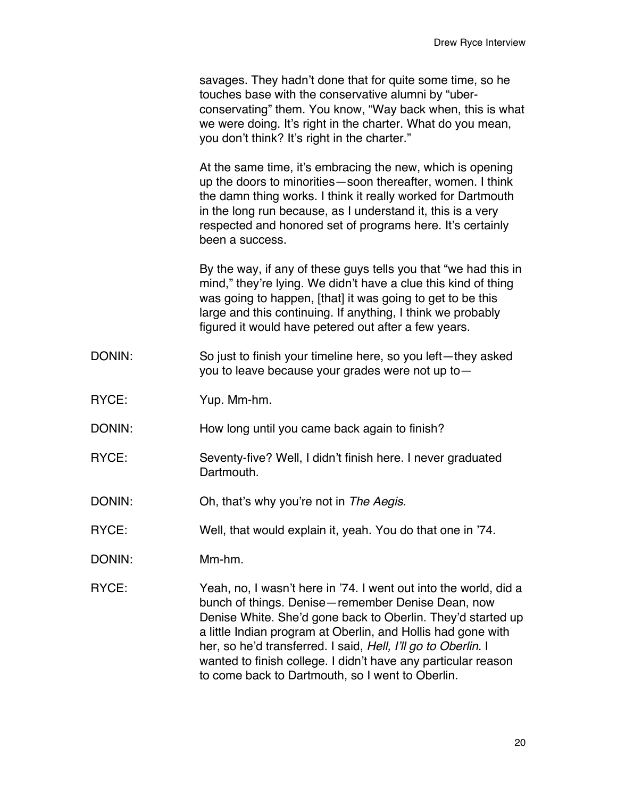savages. They hadn't done that for quite some time, so he touches base with the conservative alumni by "uberconservating" them. You know, "Way back when, this is what we were doing. It's right in the charter. What do you mean, you don't think? It's right in the charter."

At the same time, it's embracing the new, which is opening up the doors to minorities—soon thereafter, women. I think the damn thing works. I think it really worked for Dartmouth in the long run because, as I understand it, this is a very respected and honored set of programs here. It's certainly been a success.

By the way, if any of these guys tells you that "we had this in mind," they're lying. We didn't have a clue this kind of thing was going to happen, [that] it was going to get to be this large and this continuing. If anything, I think we probably figured it would have petered out after a few years.

- DONIN: So just to finish your timeline here, so you left—they asked you to leave because your grades were not up to—
- RYCE: Yup. Mm-hm.
- DONIN: How long until you came back again to finish?
- RYCE: Seventy-five? Well, I didn't finish here. I never graduated Dartmouth.
- DONIN: Oh, that's why you're not in *The Aegis*.
- RYCE: Well, that would explain it, yeah. You do that one in '74.
- DONIN: Mm-hm.
- RYCE: Yeah, no, I wasn't here in '74. I went out into the world, did a bunch of things. Denise—remember Denise Dean, now Denise White. She'd gone back to Oberlin. They'd started up a little Indian program at Oberlin, and Hollis had gone with her, so he'd transferred. I said, *Hell, I*'*ll go to Oberlin*. I wanted to finish college. I didn't have any particular reason to come back to Dartmouth, so I went to Oberlin.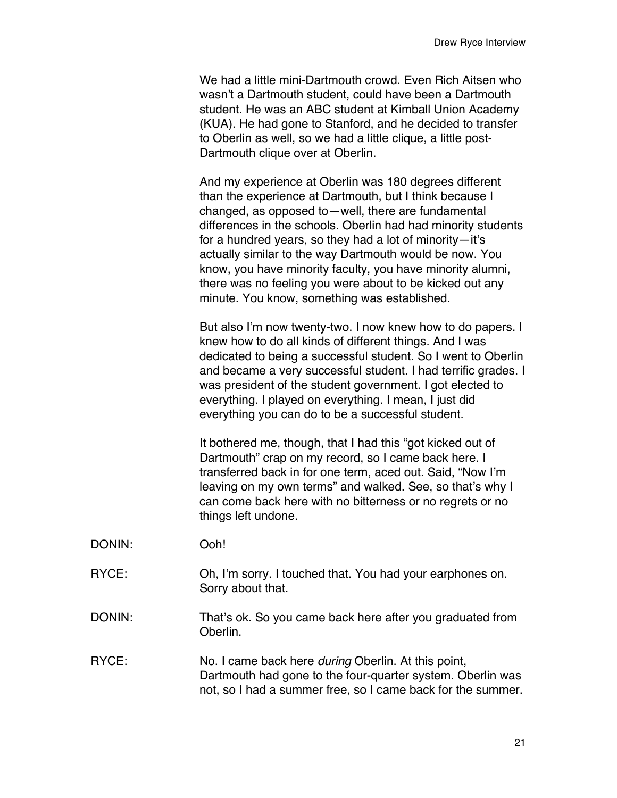We had a little mini-Dartmouth crowd. Even Rich Aitsen who wasn't a Dartmouth student, could have been a Dartmouth student. He was an ABC student at Kimball Union Academy (KUA). He had gone to Stanford, and he decided to transfer to Oberlin as well, so we had a little clique, a little post-Dartmouth clique over at Oberlin.

And my experience at Oberlin was 180 degrees different than the experience at Dartmouth, but I think because I changed, as opposed to—well, there are fundamental differences in the schools. Oberlin had had minority students for a hundred years, so they had a lot of minority—it's actually similar to the way Dartmouth would be now. You know, you have minority faculty, you have minority alumni, there was no feeling you were about to be kicked out any minute. You know, something was established.

But also I'm now twenty-two. I now knew how to do papers. I knew how to do all kinds of different things. And I was dedicated to being a successful student. So I went to Oberlin and became a very successful student. I had terrific grades. I was president of the student government. I got elected to everything. I played on everything. I mean, I just did everything you can do to be a successful student.

It bothered me, though, that I had this "got kicked out of Dartmouth" crap on my record, so I came back here. I transferred back in for one term, aced out. Said, "Now I'm leaving on my own terms" and walked. See, so that's why I can come back here with no bitterness or no regrets or no things left undone.

- DONIN: Ooh!
- RYCE: Oh, I'm sorry. I touched that. You had your earphones on. Sorry about that.
- DONIN: That's ok. So you came back here after you graduated from Oberlin.
- RYCE: No. I came back here *during* Oberlin. At this point, Dartmouth had gone to the four-quarter system. Oberlin was not, so I had a summer free, so I came back for the summer.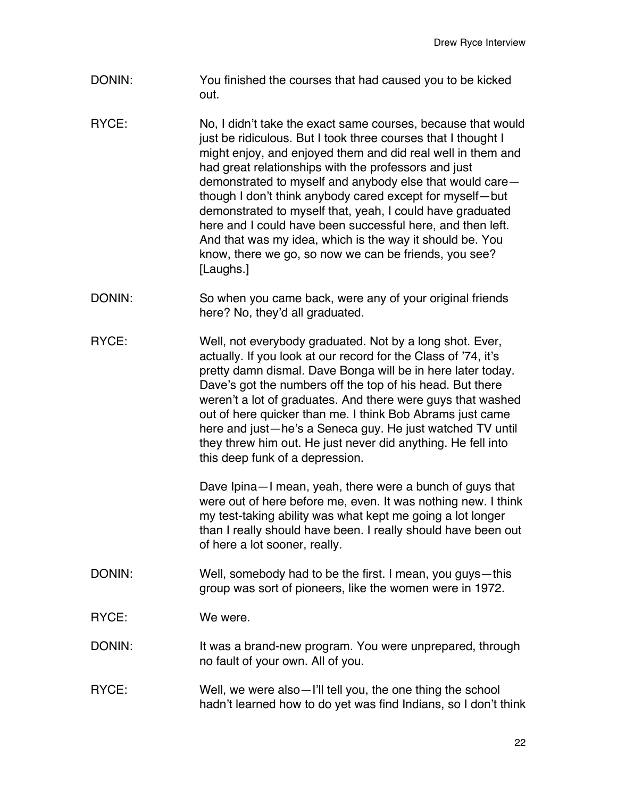- DONIN: You finished the courses that had caused you to be kicked out.
- RYCE: No, I didn't take the exact same courses, because that would just be ridiculous. But I took three courses that I thought I might enjoy, and enjoyed them and did real well in them and had great relationships with the professors and just demonstrated to myself and anybody else that would care though I don't think anybody cared except for myself—but demonstrated to myself that, yeah, I could have graduated here and I could have been successful here, and then left. And that was my idea, which is the way it should be. You know, there we go, so now we can be friends, you see? [Laughs.]
- DONIN: So when you came back, were any of your original friends here? No, they'd all graduated.
- RYCE: Well, not everybody graduated. Not by a long shot. Ever, actually. If you look at our record for the Class of '74, it's pretty damn dismal. Dave Bonga will be in here later today. Dave's got the numbers off the top of his head. But there weren't a lot of graduates. And there were guys that washed out of here quicker than me. I think Bob Abrams just came here and just—he's a Seneca guy. He just watched TV until they threw him out. He just never did anything. He fell into this deep funk of a depression.

Dave Ipina—I mean, yeah, there were a bunch of guys that were out of here before me, even. It was nothing new. I think my test-taking ability was what kept me going a lot longer than I really should have been. I really should have been out of here a lot sooner, really.

- DONIN: Well, somebody had to be the first. I mean, you guys—this group was sort of pioneers, like the women were in 1972.
- RYCE: We were.
- DONIN: It was a brand-new program. You were unprepared, through no fault of your own. All of you.
- RYCE: Well, we were also I'll tell you, the one thing the school hadn't learned how to do yet was find Indians, so I don't think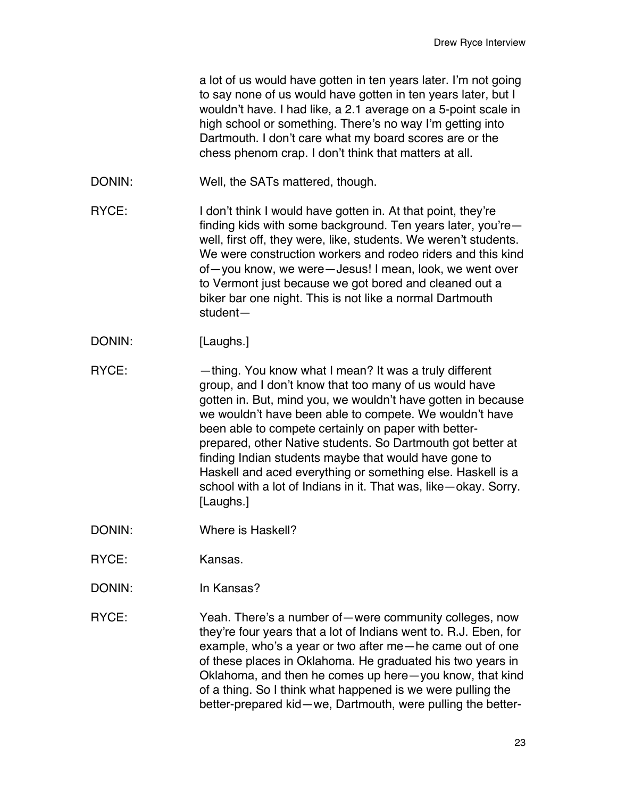|        | a lot of us would have gotten in ten years later. I'm not going<br>to say none of us would have gotten in ten years later, but I<br>wouldn't have. I had like, a 2.1 average on a 5-point scale in<br>high school or something. There's no way I'm getting into<br>Dartmouth. I don't care what my board scores are or the<br>chess phenom crap. I don't think that matters at all.                                                                                                                                                                                        |
|--------|----------------------------------------------------------------------------------------------------------------------------------------------------------------------------------------------------------------------------------------------------------------------------------------------------------------------------------------------------------------------------------------------------------------------------------------------------------------------------------------------------------------------------------------------------------------------------|
| DONIN: | Well, the SATs mattered, though.                                                                                                                                                                                                                                                                                                                                                                                                                                                                                                                                           |
| RYCE:  | I don't think I would have gotten in. At that point, they're<br>finding kids with some background. Ten years later, you're-<br>well, first off, they were, like, students. We weren't students.<br>We were construction workers and rodeo riders and this kind<br>of-you know, we were-Jesus! I mean, look, we went over<br>to Vermont just because we got bored and cleaned out a<br>biker bar one night. This is not like a normal Dartmouth<br>student-                                                                                                                 |
| DONIN: | [Laughs.]                                                                                                                                                                                                                                                                                                                                                                                                                                                                                                                                                                  |
| RYCE:  | -thing. You know what I mean? It was a truly different<br>group, and I don't know that too many of us would have<br>gotten in. But, mind you, we wouldn't have gotten in because<br>we wouldn't have been able to compete. We wouldn't have<br>been able to compete certainly on paper with better-<br>prepared, other Native students. So Dartmouth got better at<br>finding Indian students maybe that would have gone to<br>Haskell and aced everything or something else. Haskell is a<br>school with a lot of Indians in it. That was, like-okay. Sorry.<br>[Laughs.] |
| DONIN: | <b>Where is Haskell?</b>                                                                                                                                                                                                                                                                                                                                                                                                                                                                                                                                                   |
| RYCE:  | Kansas.                                                                                                                                                                                                                                                                                                                                                                                                                                                                                                                                                                    |
| DONIN: | In Kansas?                                                                                                                                                                                                                                                                                                                                                                                                                                                                                                                                                                 |
| RYCE:  | Yeah. There's a number of — were community colleges, now<br>they're four years that a lot of Indians went to. R.J. Eben, for<br>example, who's a year or two after me-he came out of one<br>of these places in Oklahoma. He graduated his two years in<br>Oklahoma, and then he comes up here-you know, that kind<br>of a thing. So I think what happened is we were pulling the<br>better-prepared kid-we, Dartmouth, were pulling the better-                                                                                                                            |
|        |                                                                                                                                                                                                                                                                                                                                                                                                                                                                                                                                                                            |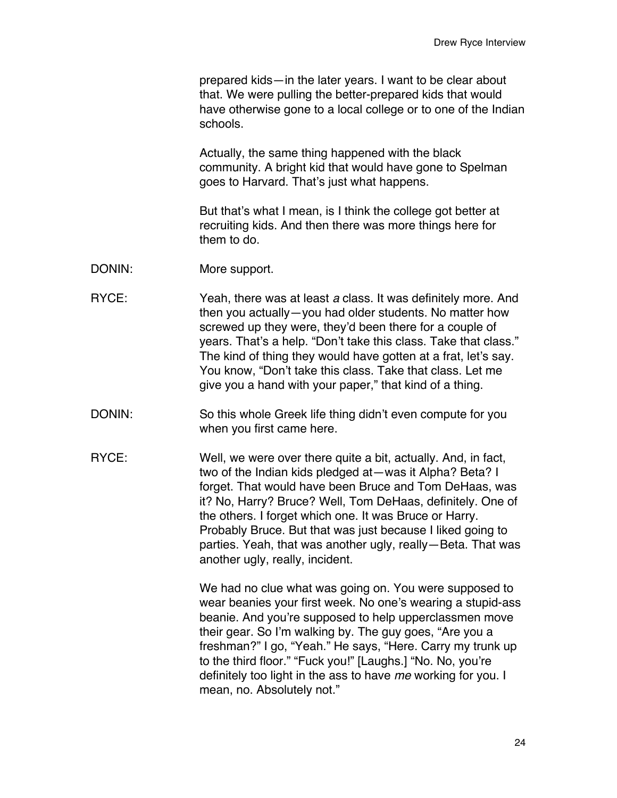prepared kids—in the later years. I want to be clear about that. We were pulling the better-prepared kids that would have otherwise gone to a local college or to one of the Indian schools.

Actually, the same thing happened with the black community. A bright kid that would have gone to Spelman goes to Harvard. That's just what happens.

But that's what I mean, is I think the college got better at recruiting kids. And then there was more things here for them to do.

- DONIN: More support.
- RYCE: Yeah, there was at least *a* class. It was definitely more. And then you actually—you had older students. No matter how screwed up they were, they'd been there for a couple of years. That's a help. "Don't take this class. Take that class." The kind of thing they would have gotten at a frat, let's say. You know, "Don't take this class. Take that class. Let me give you a hand with your paper," that kind of a thing.
- DONIN: So this whole Greek life thing didn't even compute for you when you first came here.
- RYCE: Well, we were over there quite a bit, actually. And, in fact, two of the Indian kids pledged at—was it Alpha? Beta? I forget. That would have been Bruce and Tom DeHaas, was it? No, Harry? Bruce? Well, Tom DeHaas, definitely. One of the others. I forget which one. It was Bruce or Harry. Probably Bruce. But that was just because I liked going to parties. Yeah, that was another ugly, really—Beta. That was another ugly, really, incident.

We had no clue what was going on. You were supposed to wear beanies your first week. No one's wearing a stupid-ass beanie. And you're supposed to help upperclassmen move their gear. So I'm walking by. The guy goes, "Are you a freshman?" I go, "Yeah." He says, "Here. Carry my trunk up to the third floor." "Fuck you!" [Laughs.] "No. No, you're definitely too light in the ass to have *me* working for you. I mean, no. Absolutely not."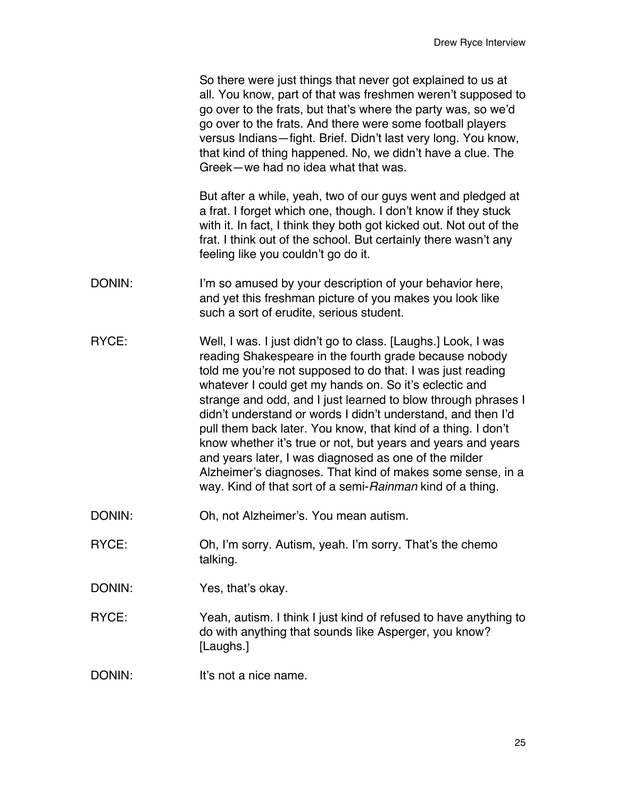So there were just things that never got explained to us at all. You know, part of that was freshmen weren't supposed to go over to the frats, but that's where the party was, so we'd go over to the frats. And there were some football players versus Indians—fight. Brief. Didn't last very long. You know, that kind of thing happened. No, we didn't have a clue. The Greek—we had no idea what that was.

But after a while, yeah, two of our guys went and pledged at a frat. I forget which one, though. I don't know if they stuck with it. In fact, I think they both got kicked out. Not out of the frat. I think out of the school. But certainly there wasn't any feeling like you couldn't go do it.

- DONIN: I'm so amused by your description of your behavior here, and yet this freshman picture of you makes you look like such a sort of erudite, serious student.
- RYCE: Well, I was. I just didn't go to class. [Laughs.] Look, I was reading Shakespeare in the fourth grade because nobody told me you're not supposed to do that. I was just reading whatever I could get my hands on. So it's eclectic and strange and odd, and I just learned to blow through phrases I didn't understand or words I didn't understand, and then I'd pull them back later. You know, that kind of a thing. I don't know whether it's true or not, but years and years and years and years later, I was diagnosed as one of the milder Alzheimer's diagnoses. That kind of makes some sense, in a way. Kind of that sort of a semi-*Rainman* kind of a thing.
- DONIN: Oh, not Alzheimer's. You mean autism.
- RYCE: Oh, I'm sorry. Autism, yeah. I'm sorry. That's the chemo talking.
- DONIN: Yes, that's okay.
- RYCE: Yeah, autism. I think I just kind of refused to have anything to do with anything that sounds like Asperger, you know? [Laughs.]
- DONIN: It's not a nice name.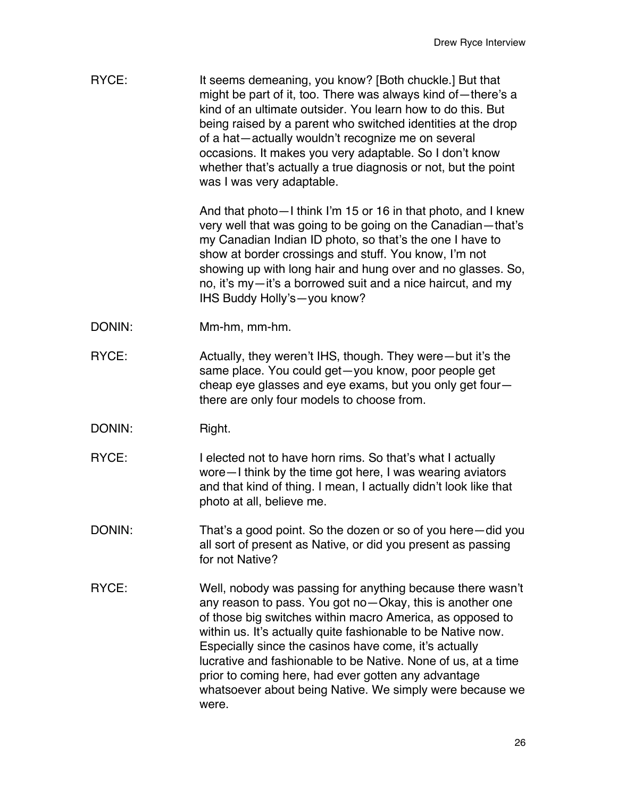| RYCE:  | It seems demeaning, you know? [Both chuckle.] But that<br>might be part of it, too. There was always kind of-there's a<br>kind of an ultimate outsider. You learn how to do this. But<br>being raised by a parent who switched identities at the drop<br>of a hat-actually wouldn't recognize me on several<br>occasions. It makes you very adaptable. So I don't know<br>whether that's actually a true diagnosis or not, but the point<br>was I was very adaptable.                                     |
|--------|-----------------------------------------------------------------------------------------------------------------------------------------------------------------------------------------------------------------------------------------------------------------------------------------------------------------------------------------------------------------------------------------------------------------------------------------------------------------------------------------------------------|
|        | And that photo - I think I'm 15 or 16 in that photo, and I knew<br>very well that was going to be going on the Canadian-that's<br>my Canadian Indian ID photo, so that's the one I have to<br>show at border crossings and stuff. You know, I'm not<br>showing up with long hair and hung over and no glasses. So,<br>no, it's my-it's a borrowed suit and a nice haircut, and my<br>IHS Buddy Holly's-you know?                                                                                          |
| DONIN: | Mm-hm, mm-hm.                                                                                                                                                                                                                                                                                                                                                                                                                                                                                             |
| RYCE:  | Actually, they weren't IHS, though. They were—but it's the<br>same place. You could get-you know, poor people get<br>cheap eye glasses and eye exams, but you only get four-<br>there are only four models to choose from.                                                                                                                                                                                                                                                                                |
| DONIN: | Right.                                                                                                                                                                                                                                                                                                                                                                                                                                                                                                    |
| RYCE:  | I elected not to have horn rims. So that's what I actually<br>wore - I think by the time got here, I was wearing aviators<br>and that kind of thing. I mean, I actually didn't look like that<br>photo at all, believe me.                                                                                                                                                                                                                                                                                |
| DONIN: | That's a good point. So the dozen or so of you here-did you<br>all sort of present as Native, or did you present as passing<br>for not Native?                                                                                                                                                                                                                                                                                                                                                            |
| RYCE:  | Well, nobody was passing for anything because there wasn't<br>any reason to pass. You got no-Okay, this is another one<br>of those big switches within macro America, as opposed to<br>within us. It's actually quite fashionable to be Native now.<br>Especially since the casinos have come, it's actually<br>lucrative and fashionable to be Native. None of us, at a time<br>prior to coming here, had ever gotten any advantage<br>whatsoever about being Native. We simply were because we<br>were. |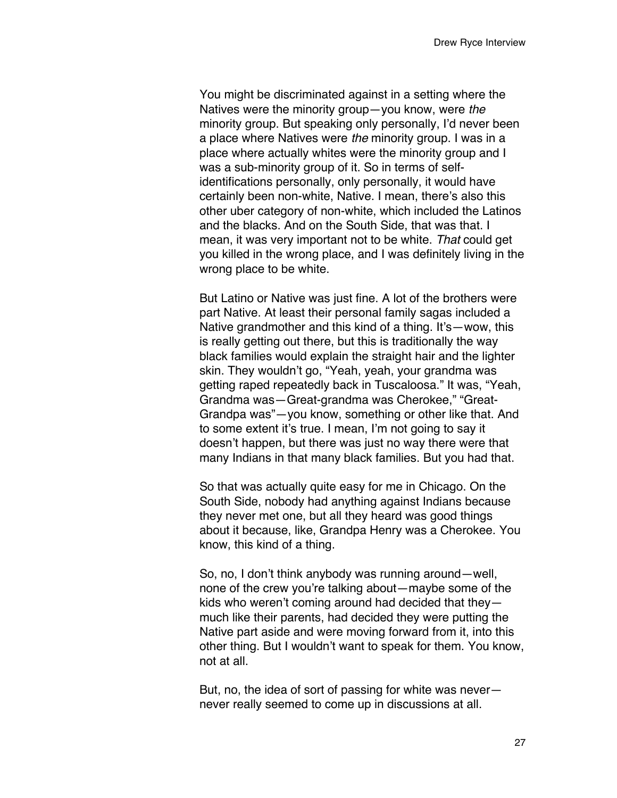You might be discriminated against in a setting where the Natives were the minority group—you know, were *the* minority group. But speaking only personally, I'd never been a place where Natives were *the* minority group. I was in a place where actually whites were the minority group and I was a sub-minority group of it. So in terms of selfidentifications personally, only personally, it would have certainly been non-white, Native. I mean, there's also this other uber category of non-white, which included the Latinos and the blacks. And on the South Side, that was that. I mean, it was very important not to be white. *That* could get you killed in the wrong place, and I was definitely living in the wrong place to be white.

But Latino or Native was just fine. A lot of the brothers were part Native. At least their personal family sagas included a Native grandmother and this kind of a thing. It's—wow, this is really getting out there, but this is traditionally the way black families would explain the straight hair and the lighter skin. They wouldn't go, "Yeah, yeah, your grandma was getting raped repeatedly back in Tuscaloosa." It was, "Yeah, Grandma was—Great-grandma was Cherokee," "Great-Grandpa was"—you know, something or other like that. And to some extent it's true. I mean, I'm not going to say it doesn't happen, but there was just no way there were that many Indians in that many black families. But you had that.

So that was actually quite easy for me in Chicago. On the South Side, nobody had anything against Indians because they never met one, but all they heard was good things about it because, like, Grandpa Henry was a Cherokee. You know, this kind of a thing.

So, no, I don't think anybody was running around—well, none of the crew you're talking about—maybe some of the kids who weren't coming around had decided that they much like their parents, had decided they were putting the Native part aside and were moving forward from it, into this other thing. But I wouldn't want to speak for them. You know, not at all.

But, no, the idea of sort of passing for white was never never really seemed to come up in discussions at all.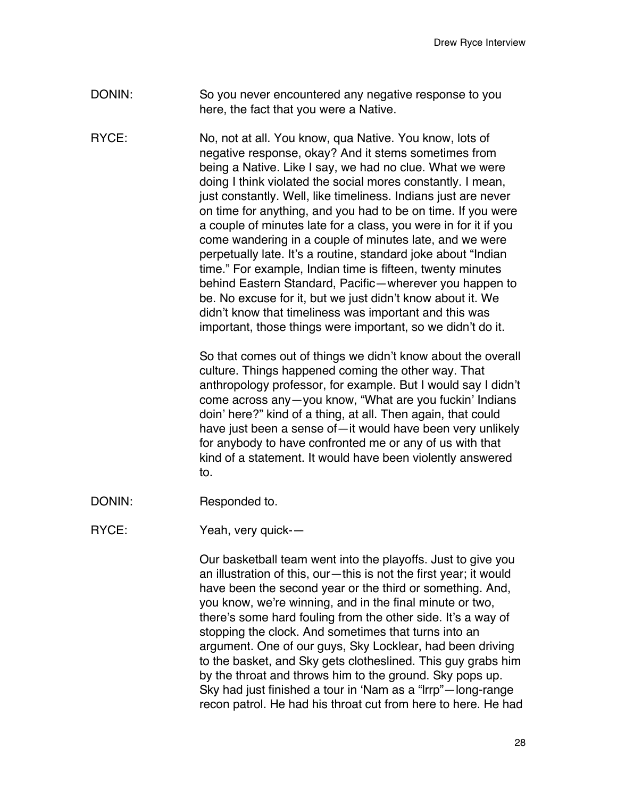- DONIN: So you never encountered any negative response to you here, the fact that you were a Native.
- RYCE: No, not at all. You know, qua Native. You know, lots of negative response, okay? And it stems sometimes from being a Native. Like I say, we had no clue. What we were doing I think violated the social mores constantly. I mean, just constantly. Well, like timeliness. Indians just are never on time for anything, and you had to be on time. If you were a couple of minutes late for a class, you were in for it if you come wandering in a couple of minutes late, and we were perpetually late. It's a routine, standard joke about "Indian time." For example, Indian time is fifteen, twenty minutes behind Eastern Standard, Pacific—wherever you happen to be. No excuse for it, but we just didn't know about it. We didn't know that timeliness was important and this was important, those things were important, so we didn't do it.

So that comes out of things we didn't know about the overall culture. Things happened coming the other way. That anthropology professor, for example. But I would say I didn't come across any—you know, "What are you fuckin' Indians doin' here?" kind of a thing, at all. Then again, that could have just been a sense of—it would have been very unlikely for anybody to have confronted me or any of us with that kind of a statement. It would have been violently answered to.

- DONIN: Responded to.
- RYCE: Yeah, very quick--

Our basketball team went into the playoffs. Just to give you an illustration of this, our—this is not the first year; it would have been the second year or the third or something. And, you know, we're winning, and in the final minute or two, there's some hard fouling from the other side. It's a way of stopping the clock. And sometimes that turns into an argument. One of our guys, Sky Locklear, had been driving to the basket, and Sky gets clotheslined. This guy grabs him by the throat and throws him to the ground. Sky pops up. Sky had just finished a tour in ʻNam as a "lrrp"—long-range recon patrol. He had his throat cut from here to here. He had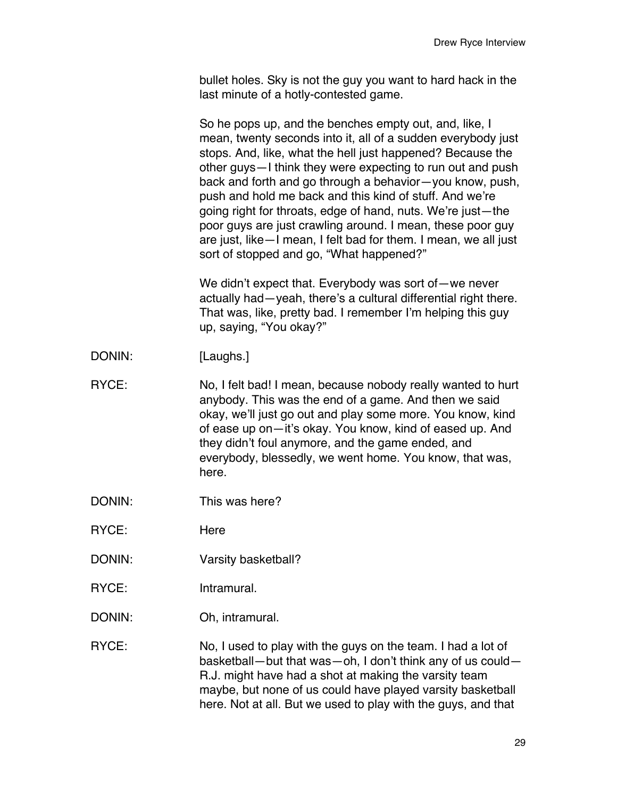bullet holes. Sky is not the guy you want to hard hack in the last minute of a hotly-contested game.

So he pops up, and the benches empty out, and, like, I mean, twenty seconds into it, all of a sudden everybody just stops. And, like, what the hell just happened? Because the other guys—I think they were expecting to run out and push back and forth and go through a behavior—you know, push, push and hold me back and this kind of stuff. And we're going right for throats, edge of hand, nuts. We're just—the poor guys are just crawling around. I mean, these poor guy are just, like—I mean, I felt bad for them. I mean, we all just sort of stopped and go, "What happened?"

We didn't expect that. Everybody was sort of—we never actually had—yeah, there's a cultural differential right there. That was, like, pretty bad. I remember I'm helping this guy up, saying, "You okay?"

- DONIN: [Laughs.]
- RYCE: No, I felt bad! I mean, because nobody really wanted to hurt anybody. This was the end of a game. And then we said okay, we'll just go out and play some more. You know, kind of ease up on—it's okay. You know, kind of eased up. And they didn't foul anymore, and the game ended, and everybody, blessedly, we went home. You know, that was, here.
- DONIN: This was here?
- RYCE: Here
- DONIN: Varsity basketball?
- RYCE: Intramural.
- DONIN: Oh, intramural.

RYCE: No, I used to play with the guys on the team. I had a lot of basketball—but that was—oh, I don't think any of us could— R.J. might have had a shot at making the varsity team maybe, but none of us could have played varsity basketball here. Not at all. But we used to play with the guys, and that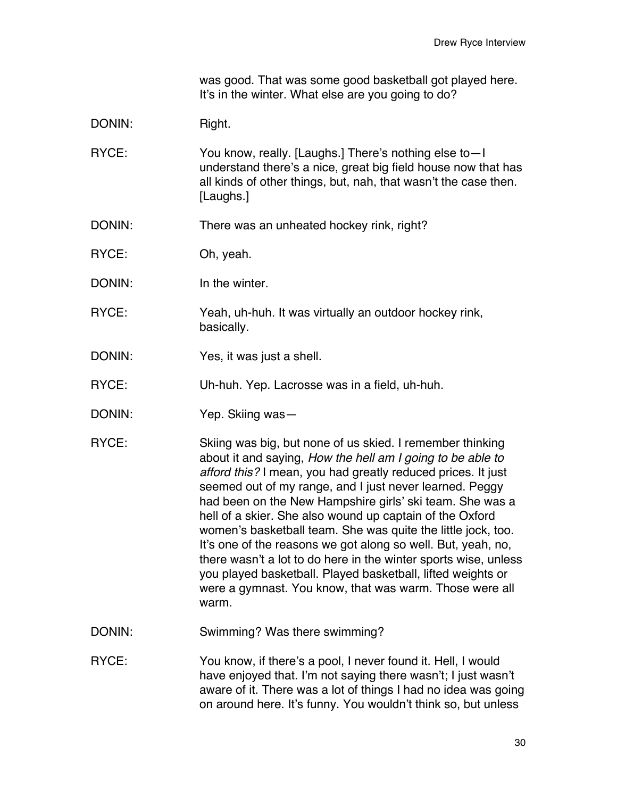was good. That was some good basketball got played here. It's in the winter. What else are you going to do?

- DONIN: Right.
- RYCE: You know, really. [Laughs.] There's nothing else to—I understand there's a nice, great big field house now that has all kinds of other things, but, nah, that wasn't the case then. [Laughs.]
- DONIN: There was an unheated hockey rink, right?
- RYCE: Oh, yeah.
- DONIN: In the winter.
- RYCE: Yeah, uh-huh. It was virtually an outdoor hockey rink, basically.
- DONIN: Yes, it was just a shell.
- RYCE: Uh-huh. Yep. Lacrosse was in a field, uh-huh.
- DONIN: Yep. Skiing was—
- RYCE: Skiing was big, but none of us skied. I remember thinking about it and saying, *How the hell am I going to be able to afford this?* I mean, you had greatly reduced prices. It just seemed out of my range, and I just never learned. Peggy had been on the New Hampshire girls' ski team. She was a hell of a skier. She also wound up captain of the Oxford women's basketball team. She was quite the little jock, too. It's one of the reasons we got along so well. But, yeah, no, there wasn't a lot to do here in the winter sports wise, unless you played basketball. Played basketball, lifted weights or were a gymnast. You know, that was warm. Those were all warm.
- DONIN: Swimming? Was there swimming?
- RYCE: You know, if there's a pool, I never found it. Hell, I would have enjoyed that. I'm not saying there wasn't; I just wasn't aware of it. There was a lot of things I had no idea was going on around here. It's funny. You wouldn't think so, but unless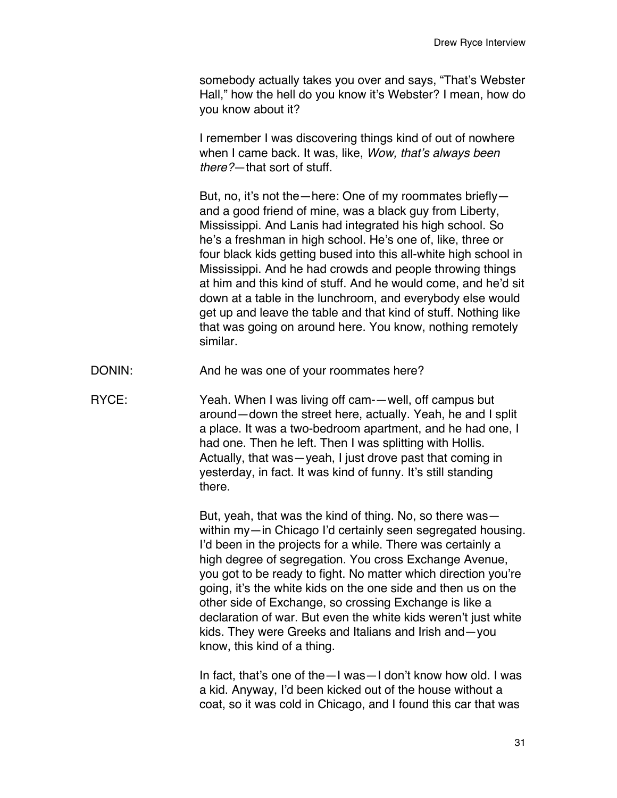somebody actually takes you over and says, "That's Webster Hall," how the hell do you know it's Webster? I mean, how do you know about it?

I remember I was discovering things kind of out of nowhere when I came back. It was, like, *Wow, that*'*s always been there?*—that sort of stuff.

But, no, it's not the—here: One of my roommates briefly and a good friend of mine, was a black guy from Liberty, Mississippi. And Lanis had integrated his high school. So he's a freshman in high school. He's one of, like, three or four black kids getting bused into this all-white high school in Mississippi. And he had crowds and people throwing things at him and this kind of stuff. And he would come, and he'd sit down at a table in the lunchroom, and everybody else would get up and leave the table and that kind of stuff. Nothing like that was going on around here. You know, nothing remotely similar.

- DONIN: And he was one of your roommates here?
- RYCE: Yeah. When I was living off cam-—well, off campus but around—down the street here, actually. Yeah, he and I split a place. It was a two-bedroom apartment, and he had one, I had one. Then he left. Then I was splitting with Hollis. Actually, that was—yeah, I just drove past that coming in yesterday, in fact. It was kind of funny. It's still standing there.

But, yeah, that was the kind of thing. No, so there was within my—in Chicago I'd certainly seen segregated housing. I'd been in the projects for a while. There was certainly a high degree of segregation. You cross Exchange Avenue, you got to be ready to fight. No matter which direction you're going, it's the white kids on the one side and then us on the other side of Exchange, so crossing Exchange is like a declaration of war. But even the white kids weren't just white kids. They were Greeks and Italians and Irish and—you know, this kind of a thing.

In fact, that's one of the—I was—I don't know how old. I was a kid. Anyway, I'd been kicked out of the house without a coat, so it was cold in Chicago, and I found this car that was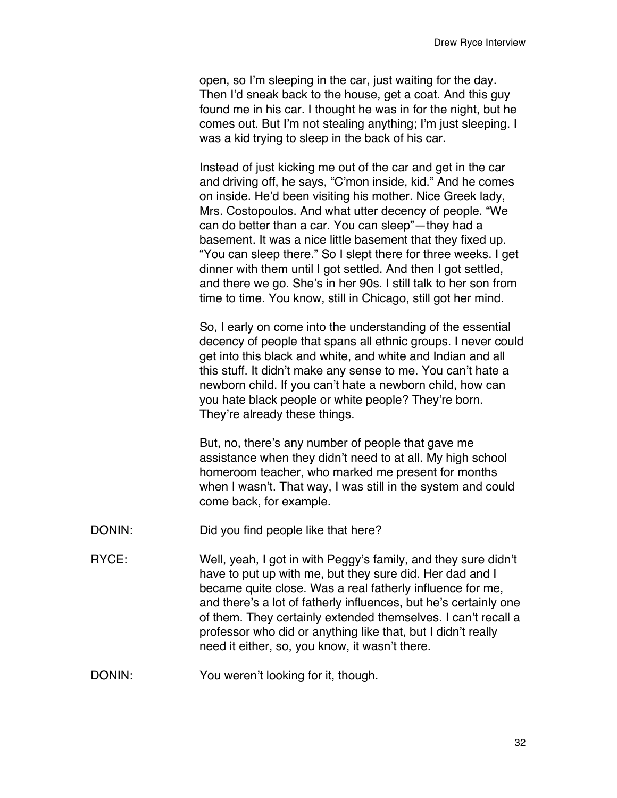open, so I'm sleeping in the car, just waiting for the day. Then I'd sneak back to the house, get a coat. And this guy found me in his car. I thought he was in for the night, but he comes out. But I'm not stealing anything; I'm just sleeping. I was a kid trying to sleep in the back of his car.

Instead of just kicking me out of the car and get in the car and driving off, he says, "C'mon inside, kid." And he comes on inside. He'd been visiting his mother. Nice Greek lady, Mrs. Costopoulos. And what utter decency of people. "We can do better than a car. You can sleep"—they had a basement. It was a nice little basement that they fixed up. "You can sleep there." So I slept there for three weeks. I get dinner with them until I got settled. And then I got settled, and there we go. She's in her 90s. I still talk to her son from time to time. You know, still in Chicago, still got her mind.

So, I early on come into the understanding of the essential decency of people that spans all ethnic groups. I never could get into this black and white, and white and Indian and all this stuff. It didn't make any sense to me. You can't hate a newborn child. If you can't hate a newborn child, how can you hate black people or white people? They're born. They're already these things.

But, no, there's any number of people that gave me assistance when they didn't need to at all. My high school homeroom teacher, who marked me present for months when I wasn't. That way, I was still in the system and could come back, for example.

- DONIN: Did you find people like that here?
- RYCE: Well, yeah, I got in with Peggy's family, and they sure didn't have to put up with me, but they sure did. Her dad and I became quite close. Was a real fatherly influence for me, and there's a lot of fatherly influences, but he's certainly one of them. They certainly extended themselves. I can't recall a professor who did or anything like that, but I didn't really need it either, so, you know, it wasn't there.
- DONIN: You weren't looking for it, though.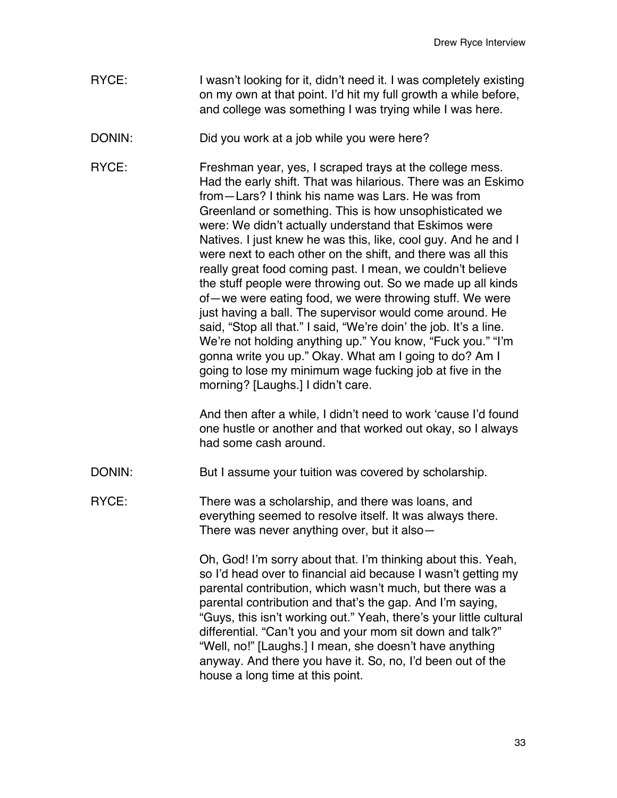- RYCE: I wasn't looking for it, didn't need it. I was completely existing on my own at that point. I'd hit my full growth a while before, and college was something I was trying while I was here.
- DONIN: Did you work at a job while you were here?

RYCE: Freshman year, yes, I scraped trays at the college mess. Had the early shift. That was hilarious. There was an Eskimo from—Lars? I think his name was Lars. He was from Greenland or something. This is how unsophisticated we were: We didn't actually understand that Eskimos were Natives. I just knew he was this, like, cool guy. And he and I were next to each other on the shift, and there was all this really great food coming past. I mean, we couldn't believe the stuff people were throwing out. So we made up all kinds of—we were eating food, we were throwing stuff. We were just having a ball. The supervisor would come around. He said, "Stop all that." I said, "We're doin' the job. It's a line. We're not holding anything up." You know, "Fuck you." "I'm gonna write you up." Okay. What am I going to do? Am I going to lose my minimum wage fucking job at five in the morning? [Laughs.] I didn't care.

> And then after a while, I didn't need to work ʻcause I'd found one hustle or another and that worked out okay, so I always had some cash around.

DONIN: But I assume your tuition was covered by scholarship.

RYCE: There was a scholarship, and there was loans, and everything seemed to resolve itself. It was always there. There was never anything over, but it also—

> Oh, God! I'm sorry about that. I'm thinking about this. Yeah, so I'd head over to financial aid because I wasn't getting my parental contribution, which wasn't much, but there was a parental contribution and that's the gap. And I'm saying, "Guys, this isn't working out." Yeah, there's your little cultural differential. "Can't you and your mom sit down and talk?" "Well, no!" [Laughs.] I mean, she doesn't have anything anyway. And there you have it. So, no, I'd been out of the house a long time at this point.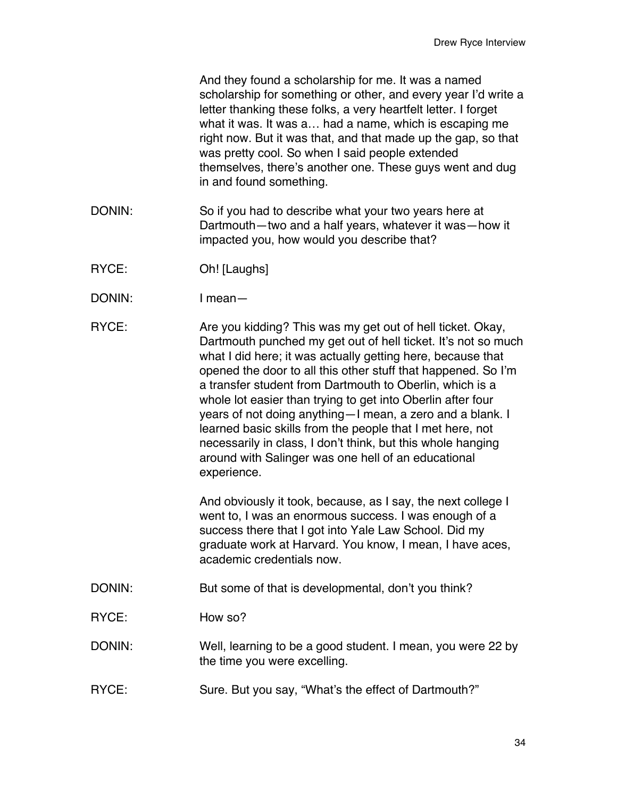And they found a scholarship for me. It was a named scholarship for something or other, and every year I'd write a letter thanking these folks, a very heartfelt letter. I forget what it was. It was a… had a name, which is escaping me right now. But it was that, and that made up the gap, so that was pretty cool. So when I said people extended themselves, there's another one. These guys went and dug in and found something.

- DONIN: So if you had to describe what your two years here at Dartmouth—two and a half years, whatever it was—how it impacted you, how would you describe that?
- RYCE: Oh! [Laughs]
- DONIN: I mean—
- RYCE: Are you kidding? This was my get out of hell ticket. Okay, Dartmouth punched my get out of hell ticket. It's not so much what I did here; it was actually getting here, because that opened the door to all this other stuff that happened. So I'm a transfer student from Dartmouth to Oberlin, which is a whole lot easier than trying to get into Oberlin after four years of not doing anything—I mean, a zero and a blank. I learned basic skills from the people that I met here, not necessarily in class, I don't think, but this whole hanging around with Salinger was one hell of an educational experience.

And obviously it took, because, as I say, the next college I went to, I was an enormous success. I was enough of a success there that I got into Yale Law School. Did my graduate work at Harvard. You know, I mean, I have aces, academic credentials now.

- DONIN: But some of that is developmental, don't you think?
- RYCE: How so?
- DONIN: Well, learning to be a good student. I mean, you were 22 by the time you were excelling.
- RYCE: Sure. But you say, "What's the effect of Dartmouth?"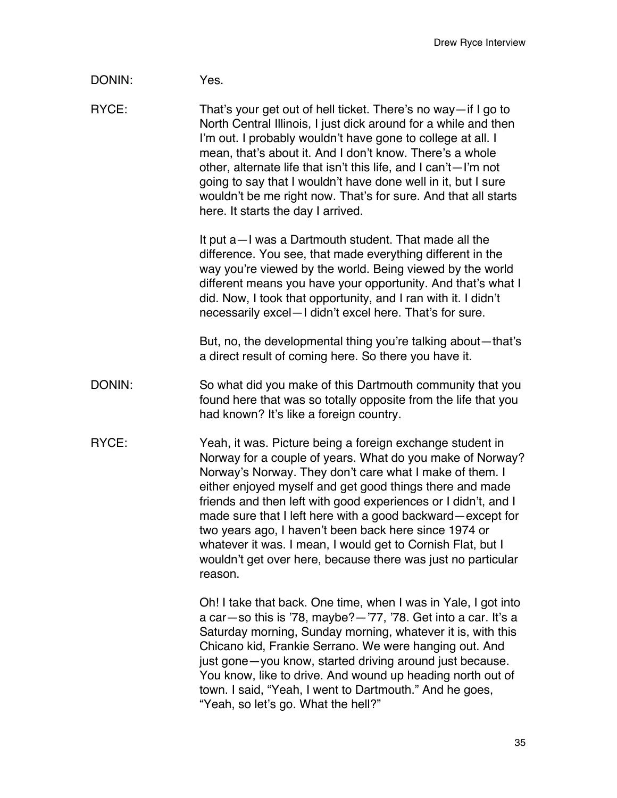| DONIN: | Yes. |
|--------|------|
|--------|------|

RYCE: That's your get out of hell ticket. There's no way—if I go to North Central Illinois, I just dick around for a while and then I'm out. I probably wouldn't have gone to college at all. I mean, that's about it. And I don't know. There's a whole other, alternate life that isn't this life, and I can't—I'm not going to say that I wouldn't have done well in it, but I sure wouldn't be me right now. That's for sure. And that all starts here. It starts the day I arrived.

> It put a—I was a Dartmouth student. That made all the difference. You see, that made everything different in the way you're viewed by the world. Being viewed by the world different means you have your opportunity. And that's what I did. Now, I took that opportunity, and I ran with it. I didn't necessarily excel—I didn't excel here. That's for sure.

> But, no, the developmental thing you're talking about—that's a direct result of coming here. So there you have it.

- DONIN: So what did you make of this Dartmouth community that you found here that was so totally opposite from the life that you had known? It's like a foreign country.
- RYCE: Yeah, it was. Picture being a foreign exchange student in Norway for a couple of years. What do you make of Norway? Norway's Norway. They don't care what I make of them. I either enjoyed myself and get good things there and made friends and then left with good experiences or I didn't, and I made sure that I left here with a good backward—except for two years ago, I haven't been back here since 1974 or whatever it was. I mean, I would get to Cornish Flat, but I wouldn't get over here, because there was just no particular reason.

Oh! I take that back. One time, when I was in Yale, I got into a car—so this is '78, maybe?—'77, '78. Get into a car. It's a Saturday morning, Sunday morning, whatever it is, with this Chicano kid, Frankie Serrano. We were hanging out. And just gone—you know, started driving around just because. You know, like to drive. And wound up heading north out of town. I said, "Yeah, I went to Dartmouth." And he goes, "Yeah, so let's go. What the hell?"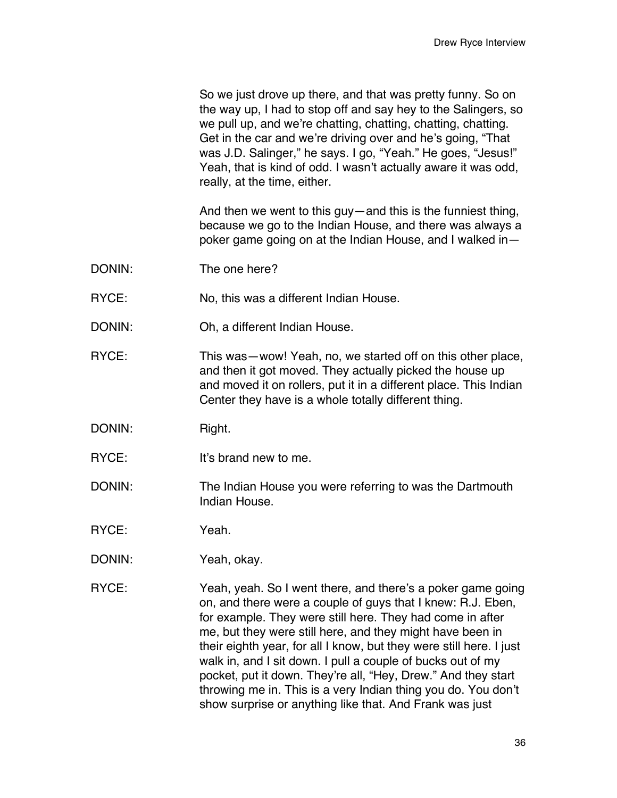So we just drove up there, and that was pretty funny. So on the way up, I had to stop off and say hey to the Salingers, so we pull up, and we're chatting, chatting, chatting, chatting. Get in the car and we're driving over and he's going, "That was J.D. Salinger," he says. I go, "Yeah." He goes, "Jesus!" Yeah, that is kind of odd. I wasn't actually aware it was odd, really, at the time, either.

And then we went to this guy—and this is the funniest thing, because we go to the Indian House, and there was always a poker game going on at the Indian House, and I walked in—

- DONIN: The one here?
- RYCE: No, this was a different Indian House.
- DONIN: Oh, a different Indian House.
- RYCE: This was—wow! Yeah, no, we started off on this other place, and then it got moved. They actually picked the house up and moved it on rollers, put it in a different place. This Indian Center they have is a whole totally different thing.
- DONIN: Right.
- RYCE: It's brand new to me.
- DONIN: The Indian House you were referring to was the Dartmouth Indian House.
- RYCE: Yeah.
- DONIN: Yeah, okay.
- RYCE: Yeah, yeah. So I went there, and there's a poker game going on, and there were a couple of guys that I knew: R.J. Eben, for example. They were still here. They had come in after me, but they were still here, and they might have been in their eighth year, for all I know, but they were still here. I just walk in, and I sit down. I pull a couple of bucks out of my pocket, put it down. They're all, "Hey, Drew." And they start throwing me in. This is a very Indian thing you do. You don't show surprise or anything like that. And Frank was just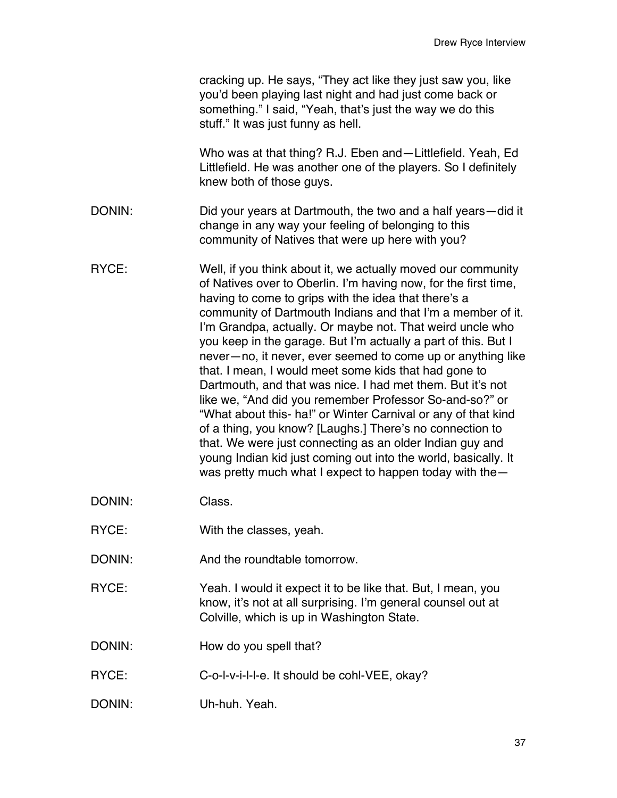|        | cracking up. He says, "They act like they just saw you, like<br>you'd been playing last night and had just come back or<br>something." I said, "Yeah, that's just the way we do this<br>stuff." It was just funny as hell.                                                                                                                                                                                                                                                                                                                                                                                                                                                                                                                                                                                                                                                                                                                                   |
|--------|--------------------------------------------------------------------------------------------------------------------------------------------------------------------------------------------------------------------------------------------------------------------------------------------------------------------------------------------------------------------------------------------------------------------------------------------------------------------------------------------------------------------------------------------------------------------------------------------------------------------------------------------------------------------------------------------------------------------------------------------------------------------------------------------------------------------------------------------------------------------------------------------------------------------------------------------------------------|
|        | Who was at that thing? R.J. Eben and—Littlefield. Yeah, Ed<br>Littlefield. He was another one of the players. So I definitely<br>knew both of those guys.                                                                                                                                                                                                                                                                                                                                                                                                                                                                                                                                                                                                                                                                                                                                                                                                    |
| DONIN: | Did your years at Dartmouth, the two and a half years—did it<br>change in any way your feeling of belonging to this<br>community of Natives that were up here with you?                                                                                                                                                                                                                                                                                                                                                                                                                                                                                                                                                                                                                                                                                                                                                                                      |
| RYCE:  | Well, if you think about it, we actually moved our community<br>of Natives over to Oberlin. I'm having now, for the first time,<br>having to come to grips with the idea that there's a<br>community of Dartmouth Indians and that I'm a member of it.<br>I'm Grandpa, actually. Or maybe not. That weird uncle who<br>you keep in the garage. But I'm actually a part of this. But I<br>never-no, it never, ever seemed to come up or anything like<br>that. I mean, I would meet some kids that had gone to<br>Dartmouth, and that was nice. I had met them. But it's not<br>like we, "And did you remember Professor So-and-so?" or<br>"What about this- ha!" or Winter Carnival or any of that kind<br>of a thing, you know? [Laughs.] There's no connection to<br>that. We were just connecting as an older Indian guy and<br>young Indian kid just coming out into the world, basically. It<br>was pretty much what I expect to happen today with the- |
| DONIN: | Class.                                                                                                                                                                                                                                                                                                                                                                                                                                                                                                                                                                                                                                                                                                                                                                                                                                                                                                                                                       |
| RYCE:  | With the classes, yeah.                                                                                                                                                                                                                                                                                                                                                                                                                                                                                                                                                                                                                                                                                                                                                                                                                                                                                                                                      |
| DONIN: | And the roundtable tomorrow.                                                                                                                                                                                                                                                                                                                                                                                                                                                                                                                                                                                                                                                                                                                                                                                                                                                                                                                                 |
| RYCE:  | Yeah. I would it expect it to be like that. But, I mean, you<br>know, it's not at all surprising. I'm general counsel out at<br>Colville, which is up in Washington State.                                                                                                                                                                                                                                                                                                                                                                                                                                                                                                                                                                                                                                                                                                                                                                                   |
| DONIN: | How do you spell that?                                                                                                                                                                                                                                                                                                                                                                                                                                                                                                                                                                                                                                                                                                                                                                                                                                                                                                                                       |
| RYCE:  | C-o-I-v-i-I-I-e. It should be cohl-VEE, okay?                                                                                                                                                                                                                                                                                                                                                                                                                                                                                                                                                                                                                                                                                                                                                                                                                                                                                                                |
| DONIN: | Uh-huh. Yeah.                                                                                                                                                                                                                                                                                                                                                                                                                                                                                                                                                                                                                                                                                                                                                                                                                                                                                                                                                |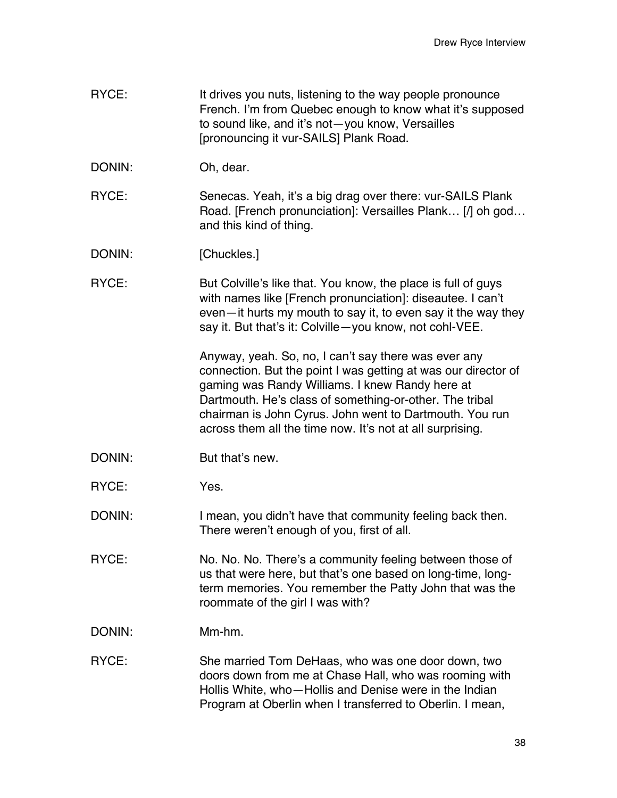- RYCE: It drives you nuts, listening to the way people pronounce French. I'm from Quebec enough to know what it's supposed to sound like, and it's not—you know, Versailles [pronouncing it vur-SAILS] Plank Road.
- DONIN: Oh, dear.
- RYCE: Senecas. Yeah, it's a big drag over there: vur-SAILS Plank Road. [French pronunciation]: Versailles Plank… [/] oh god… and this kind of thing.
- DONIN: [Chuckles.]
- RYCE: But Colville's like that. You know, the place is full of guys with names like [French pronunciation]: diseautee. I can't even—it hurts my mouth to say it, to even say it the way they say it. But that's it: Colville—you know, not cohl-VEE.

Anyway, yeah. So, no, I can't say there was ever any connection. But the point I was getting at was our director of gaming was Randy Williams. I knew Randy here at Dartmouth. He's class of something-or-other. The tribal chairman is John Cyrus. John went to Dartmouth. You run across them all the time now. It's not at all surprising.

- DONIN: But that's new.
- RYCE: Yes.

DONIN: I mean, you didn't have that community feeling back then. There weren't enough of you, first of all.

- RYCE: No. No. No. There's a community feeling between those of us that were here, but that's one based on long-time, longterm memories. You remember the Patty John that was the roommate of the girl I was with?
- DONIN: Mm-hm.
- RYCE: She married Tom DeHaas, who was one door down, two doors down from me at Chase Hall, who was rooming with Hollis White, who—Hollis and Denise were in the Indian Program at Oberlin when I transferred to Oberlin. I mean,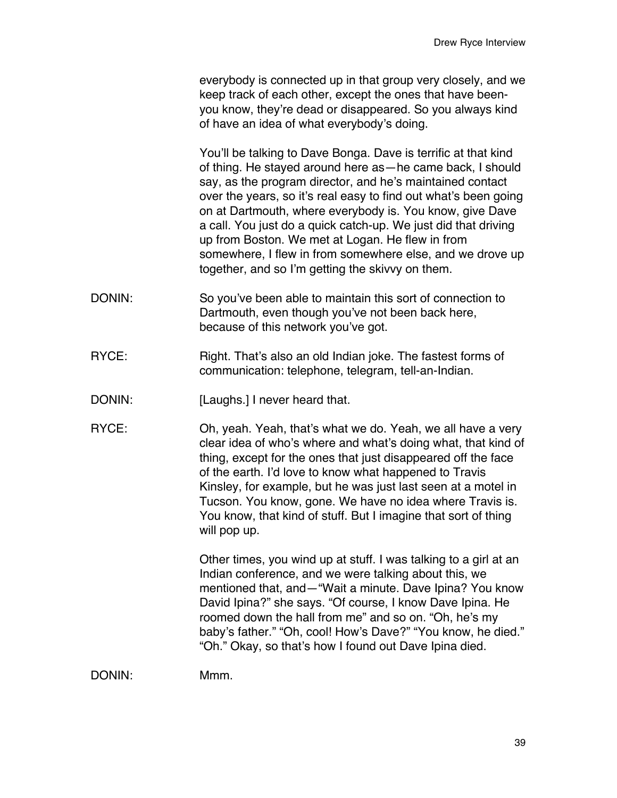everybody is connected up in that group very closely, and we keep track of each other, except the ones that have beenyou know, they're dead or disappeared. So you always kind of have an idea of what everybody's doing.

You'll be talking to Dave Bonga. Dave is terrific at that kind of thing. He stayed around here as—he came back, I should say, as the program director, and he's maintained contact over the years, so it's real easy to find out what's been going on at Dartmouth, where everybody is. You know, give Dave a call. You just do a quick catch-up. We just did that driving up from Boston. We met at Logan. He flew in from somewhere, I flew in from somewhere else, and we drove up together, and so I'm getting the skivvy on them.

- DONIN: So you've been able to maintain this sort of connection to Dartmouth, even though you've not been back here, because of this network you've got.
- RYCE: Right. That's also an old Indian joke. The fastest forms of communication: telephone, telegram, tell-an-Indian.
- DONIN: [Laughs.] I never heard that.
- RYCE: Oh, yeah. Yeah, that's what we do. Yeah, we all have a very clear idea of who's where and what's doing what, that kind of thing, except for the ones that just disappeared off the face of the earth. I'd love to know what happened to Travis Kinsley, for example, but he was just last seen at a motel in Tucson. You know, gone. We have no idea where Travis is. You know, that kind of stuff. But I imagine that sort of thing will pop up.

Other times, you wind up at stuff. I was talking to a girl at an Indian conference, and we were talking about this, we mentioned that, and—"Wait a minute. Dave Ipina? You know David Ipina?" she says. "Of course, I know Dave Ipina. He roomed down the hall from me" and so on. "Oh, he's my baby's father." "Oh, cool! How's Dave?" "You know, he died." "Oh." Okay, so that's how I found out Dave Ipina died.

DONIN: Mmm.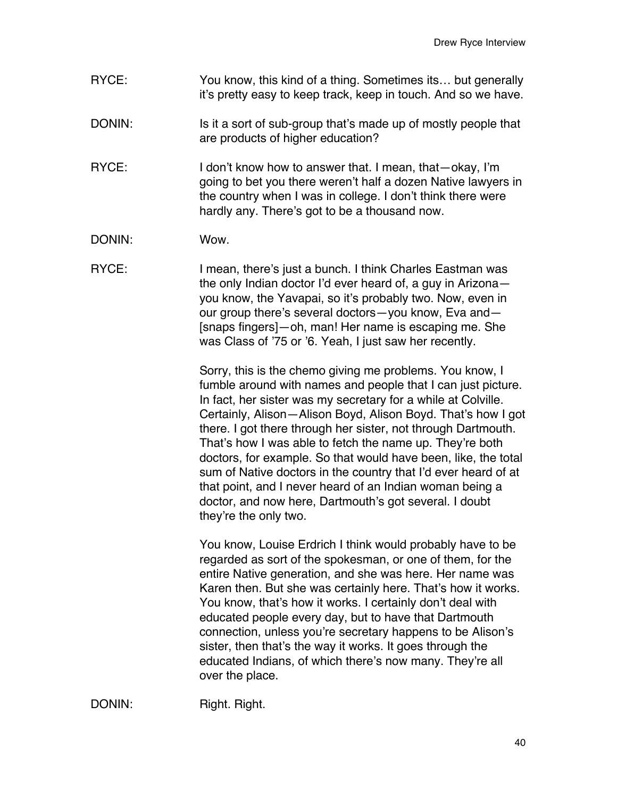- RYCE: You know, this kind of a thing. Sometimes its... but generally it's pretty easy to keep track, keep in touch. And so we have.
- DONIN: Is it a sort of sub-group that's made up of mostly people that are products of higher education?
- RYCE: I don't know how to answer that. I mean, that okay, I'm going to bet you there weren't half a dozen Native lawyers in the country when I was in college. I don't think there were hardly any. There's got to be a thousand now.
- DONIN: Wow.
- RYCE: I mean, there's just a bunch. I think Charles Eastman was the only Indian doctor I'd ever heard of, a guy in Arizona you know, the Yavapai, so it's probably two. Now, even in our group there's several doctors—you know, Eva and— [snaps fingers]—oh, man! Her name is escaping me. She was Class of '75 or '6. Yeah, I just saw her recently.

Sorry, this is the chemo giving me problems. You know, I fumble around with names and people that I can just picture. In fact, her sister was my secretary for a while at Colville. Certainly, Alison—Alison Boyd, Alison Boyd. That's how I got there. I got there through her sister, not through Dartmouth. That's how I was able to fetch the name up. They're both doctors, for example. So that would have been, like, the total sum of Native doctors in the country that I'd ever heard of at that point, and I never heard of an Indian woman being a doctor, and now here, Dartmouth's got several. I doubt they're the only two.

You know, Louise Erdrich I think would probably have to be regarded as sort of the spokesman, or one of them, for the entire Native generation, and she was here. Her name was Karen then. But she was certainly here. That's how it works. You know, that's how it works. I certainly don't deal with educated people every day, but to have that Dartmouth connection, unless you're secretary happens to be Alison's sister, then that's the way it works. It goes through the educated Indians, of which there's now many. They're all over the place.

DONIN: Right. Right.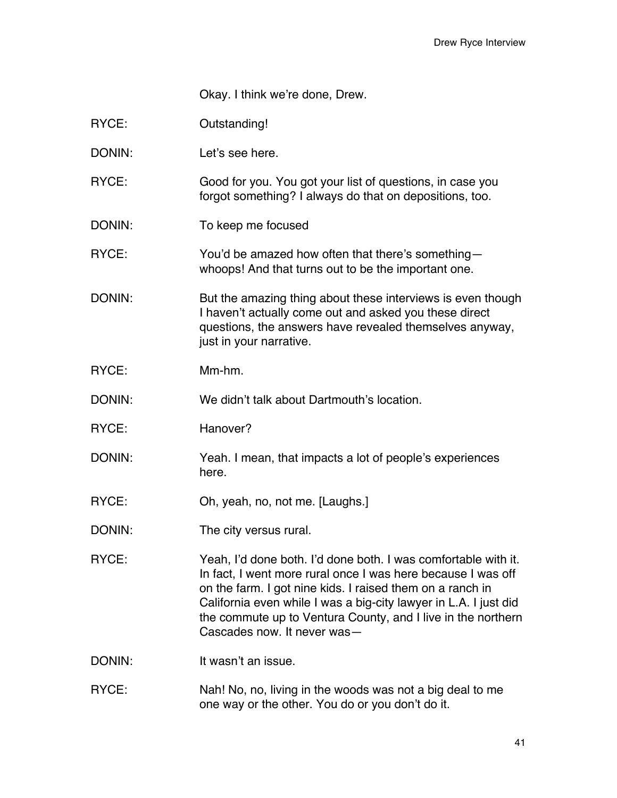Okay. I think we're done, Drew.

| RYCE:  | Outstanding!                                                                                                                                                                                                                                                                                                                                                   |
|--------|----------------------------------------------------------------------------------------------------------------------------------------------------------------------------------------------------------------------------------------------------------------------------------------------------------------------------------------------------------------|
| DONIN: | Let's see here.                                                                                                                                                                                                                                                                                                                                                |
| RYCE:  | Good for you. You got your list of questions, in case you<br>forgot something? I always do that on depositions, too.                                                                                                                                                                                                                                           |
| DONIN: | To keep me focused                                                                                                                                                                                                                                                                                                                                             |
| RYCE:  | You'd be amazed how often that there's something-<br>whoops! And that turns out to be the important one.                                                                                                                                                                                                                                                       |
| DONIN: | But the amazing thing about these interviews is even though<br>I haven't actually come out and asked you these direct<br>questions, the answers have revealed themselves anyway,<br>just in your narrative.                                                                                                                                                    |
| RYCE:  | Mm-hm.                                                                                                                                                                                                                                                                                                                                                         |
| DONIN: | We didn't talk about Dartmouth's location.                                                                                                                                                                                                                                                                                                                     |
| RYCE:  | Hanover?                                                                                                                                                                                                                                                                                                                                                       |
| DONIN: | Yeah. I mean, that impacts a lot of people's experiences<br>here.                                                                                                                                                                                                                                                                                              |
| RYCE:  | Oh, yeah, no, not me. [Laughs.]                                                                                                                                                                                                                                                                                                                                |
| DONIN: | The city versus rural.                                                                                                                                                                                                                                                                                                                                         |
| RYCE:  | Yeah, I'd done both. I'd done both. I was comfortable with it.<br>In fact, I went more rural once I was here because I was off<br>on the farm. I got nine kids. I raised them on a ranch in<br>California even while I was a big-city lawyer in L.A. I just did<br>the commute up to Ventura County, and I live in the northern<br>Cascades now. It never was- |
| DONIN: | It wasn't an issue.                                                                                                                                                                                                                                                                                                                                            |
| RYCE:  | Nah! No, no, living in the woods was not a big deal to me<br>one way or the other. You do or you don't do it.                                                                                                                                                                                                                                                  |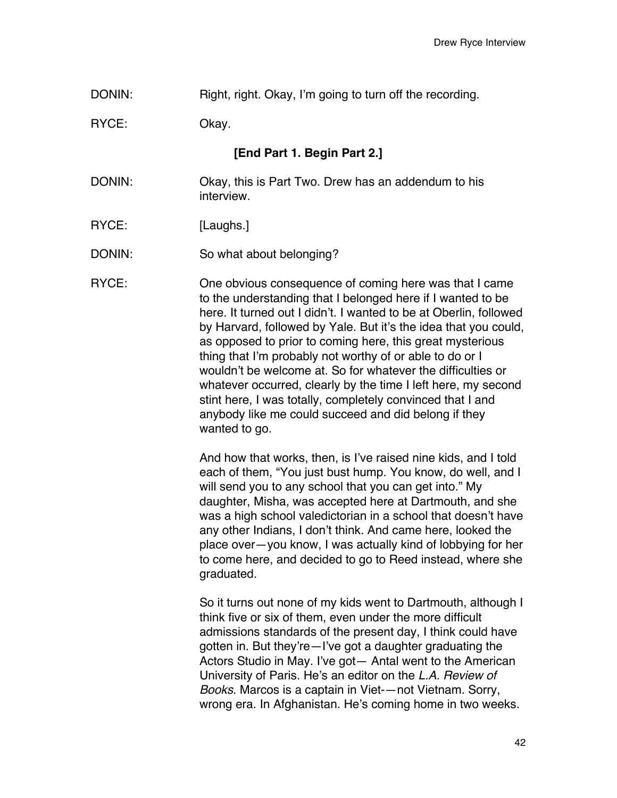DONIN: Right, right. Okay, I'm going to turn off the recording.

RYCE: Okay.

**[End Part 1. Begin Part 2.]**

- DONIN: Okay, this is Part Two. Drew has an addendum to his interview.
- RYCE: [Laughs.]
- DONIN: So what about belonging?

RYCE: One obvious consequence of coming here was that I came to the understanding that I belonged here if I wanted to be here. It turned out I didn't. I wanted to be at Oberlin, followed by Harvard, followed by Yale. But it's the idea that you could, as opposed to prior to coming here, this great mysterious thing that I'm probably not worthy of or able to do or I wouldn't be welcome at. So for whatever the difficulties or whatever occurred, clearly by the time I left here, my second stint here, I was totally, completely convinced that I and anybody like me could succeed and did belong if they wanted to go.

> And how that works, then, is I've raised nine kids, and I told each of them, "You just bust hump. You know, do well, and I will send you to any school that you can get into." My daughter, Misha, was accepted here at Dartmouth, and she was a high school valedictorian in a school that doesn't have any other Indians, I don't think. And came here, looked the place over—you know, I was actually kind of lobbying for her to come here, and decided to go to Reed instead, where she graduated.

> So it turns out none of my kids went to Dartmouth, although I think five or six of them, even under the more difficult admissions standards of the present day, I think could have gotten in. But they're—I've got a daughter graduating the Actors Studio in May. I've got— Antal went to the American University of Paris. He's an editor on the *L.A. Review of Books*. Marcos is a captain in Viet-—not Vietnam. Sorry, wrong era. In Afghanistan. He's coming home in two weeks.